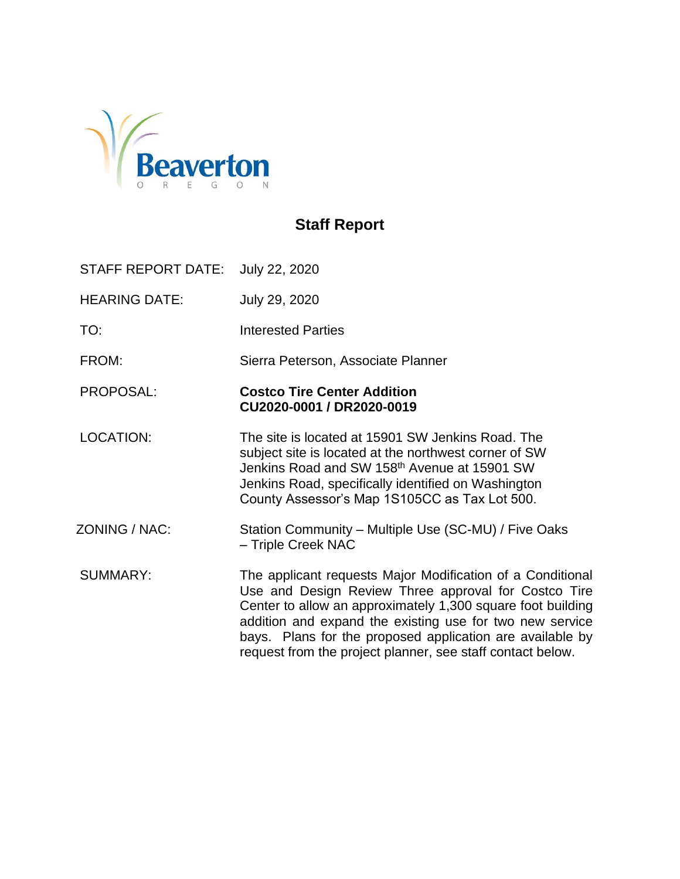

## **Staff Report**

STAFF REPORT DATE: July 22, 2020

HEARING DATE: July 29, 2020

TO: Interested Parties

FROM: Sierra Peterson, Associate Planner

#### PROPOSAL: **Costco Tire Center Addition CU2020-0001 / DR2020-0019**

LOCATION: The site is located at 15901 SW Jenkins Road. The subject site is located at the northwest corner of SW Jenkins Road and SW 158<sup>th</sup> Avenue at 15901 SW Jenkins Road, specifically identified on Washington County Assessor's Map 1S105CC as Tax Lot 500.

ZONING / NAC: Station Community – Multiple Use (SC-MU) / Five Oaks – Triple Creek NAC

SUMMARY: The applicant requests Major Modification of a Conditional Use and Design Review Three approval for Costco Tire Center to allow an approximately 1,300 square foot building addition and expand the existing use for two new service bays. Plans for the proposed application are available by request from the project planner, see staff contact below.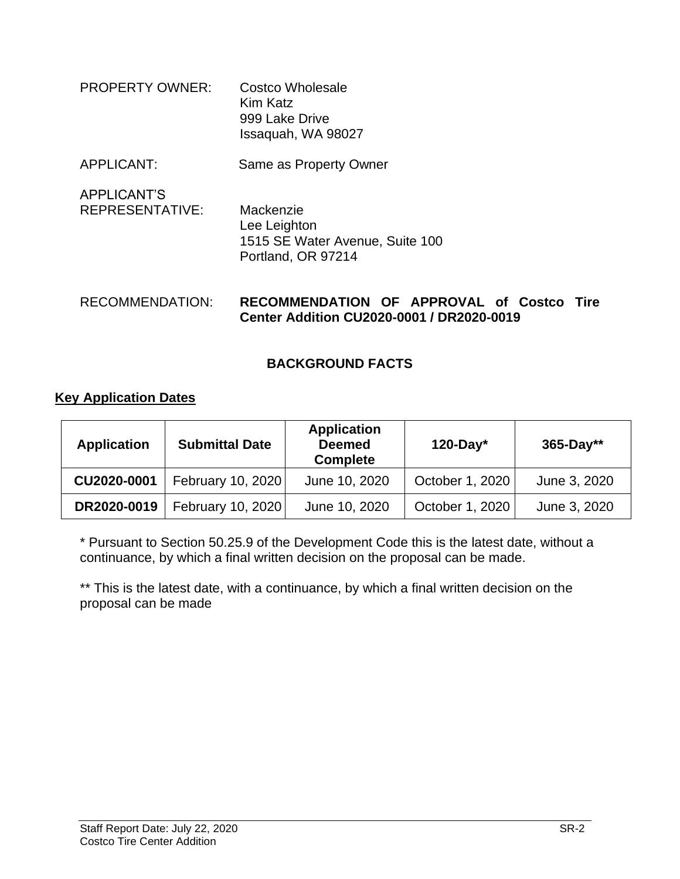| <b>PROPERTY OWNER:</b> | Costco Wholesale   |
|------------------------|--------------------|
|                        | Kim Katz           |
|                        | 999 Lake Drive     |
|                        | Issaquah, WA 98027 |

- APPLICANT: Same as Property Owner
- APPLICANT'S REPRESENTATIVE: Mackenzie Lee Leighton 1515 SE Water Avenue, Suite 100 Portland, OR 97214

#### RECOMMENDATION: **RECOMMENDATION OF APPROVAL of Costco Tire Center Addition CU2020-0001 / DR2020-0019**

## **BACKGROUND FACTS**

#### **Key Application Dates**

| <b>Application</b> | <b>Submittal Date</b> | <b>Application</b><br><b>Deemed</b><br><b>Complete</b> | $120$ -Day*     | $365 - Day**$ |
|--------------------|-----------------------|--------------------------------------------------------|-----------------|---------------|
| CU2020-0001        | February 10, 2020     | June 10, 2020                                          | October 1, 2020 | June 3, 2020  |
| DR2020-0019        | February 10, 2020     | June 10, 2020                                          | October 1, 2020 | June 3, 2020  |

\* Pursuant to Section 50.25.9 of the Development Code this is the latest date, without a continuance, by which a final written decision on the proposal can be made.

\*\* This is the latest date, with a continuance, by which a final written decision on the proposal can be made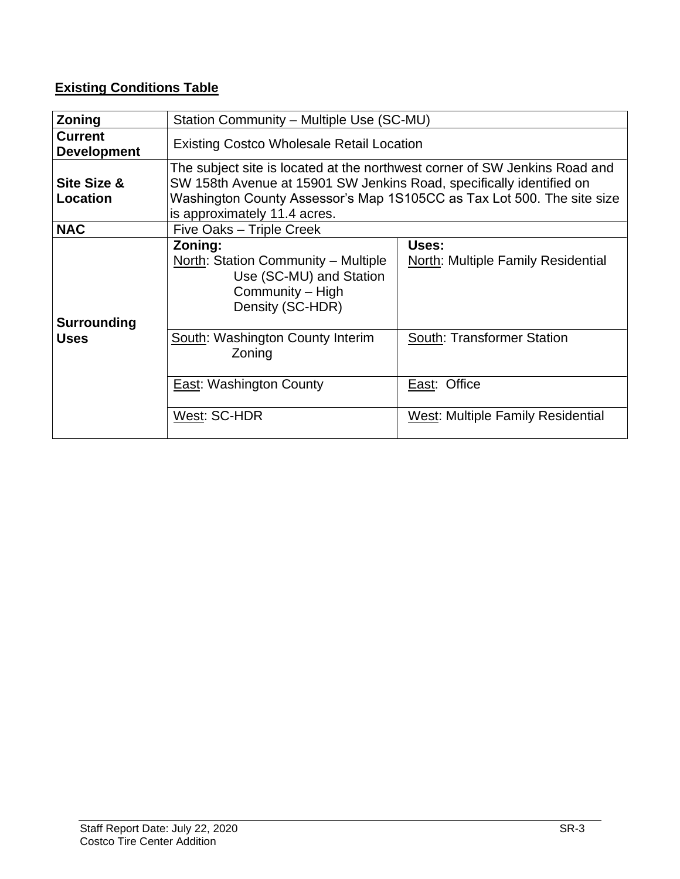## **Existing Conditions Table**

| Zoning                               | Station Community - Multiple Use (SC-MU)                                                                                                                                                                                                                     |                                                    |  |  |
|--------------------------------------|--------------------------------------------------------------------------------------------------------------------------------------------------------------------------------------------------------------------------------------------------------------|----------------------------------------------------|--|--|
| <b>Current</b><br><b>Development</b> | <b>Existing Costco Wholesale Retail Location</b>                                                                                                                                                                                                             |                                                    |  |  |
| Site Size &<br>Location              | The subject site is located at the northwest corner of SW Jenkins Road and<br>SW 158th Avenue at 15901 SW Jenkins Road, specifically identified on<br>Washington County Assessor's Map 1S105CC as Tax Lot 500. The site size<br>is approximately 11.4 acres. |                                                    |  |  |
| <b>NAC</b>                           | Five Oaks - Triple Creek                                                                                                                                                                                                                                     |                                                    |  |  |
| <b>Surrounding</b>                   | Zoning:<br><b>North: Station Community - Multiple</b><br>Use (SC-MU) and Station<br>Community – High<br>Density (SC-HDR)                                                                                                                                     | Uses:<br><b>North: Multiple Family Residential</b> |  |  |
| <b>Uses</b>                          | South: Washington County Interim<br>Zoning                                                                                                                                                                                                                   | <b>South: Transformer Station</b>                  |  |  |
|                                      | East: Office<br>East: Washington County                                                                                                                                                                                                                      |                                                    |  |  |
|                                      | West: SC-HDR                                                                                                                                                                                                                                                 | <b>West: Multiple Family Residential</b>           |  |  |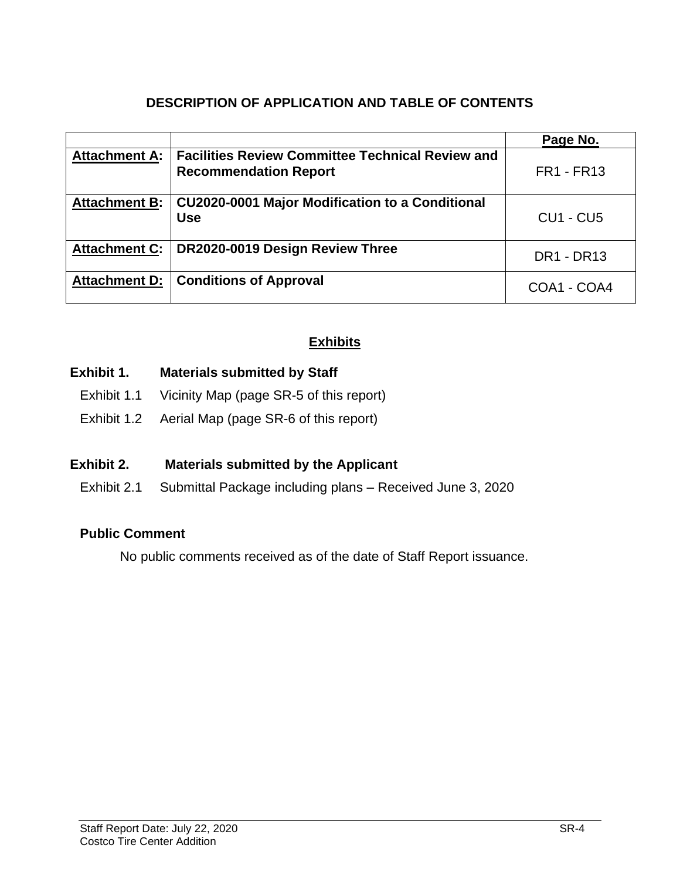## **DESCRIPTION OF APPLICATION AND TABLE OF CONTENTS**

|                      |                                                                                         | Page No.          |
|----------------------|-----------------------------------------------------------------------------------------|-------------------|
| <b>Attachment A:</b> | <b>Facilities Review Committee Technical Review and</b><br><b>Recommendation Report</b> | <b>FR1 - FR13</b> |
| <b>Attachment B:</b> | CU2020-0001 Major Modification to a Conditional<br><b>Use</b>                           | <b>CU1 - CU5</b>  |
| <b>Attachment C:</b> | DR2020-0019 Design Review Three                                                         | <b>DR1 - DR13</b> |
| <b>Attachment D:</b> | <b>Conditions of Approval</b>                                                           | COA1 - COA4       |

## **Exhibits**

## **Exhibit 1. Materials submitted by Staff**

- Exhibit 1.1 Vicinity Map (page SR-5 of this report)
- Exhibit 1.2 Aerial Map (page SR-6 of this report)

## **Exhibit 2. Materials submitted by the Applicant**

Exhibit 2.1 Submittal Package including plans – Received June 3, 2020

## **Public Comment**

No public comments received as of the date of Staff Report issuance.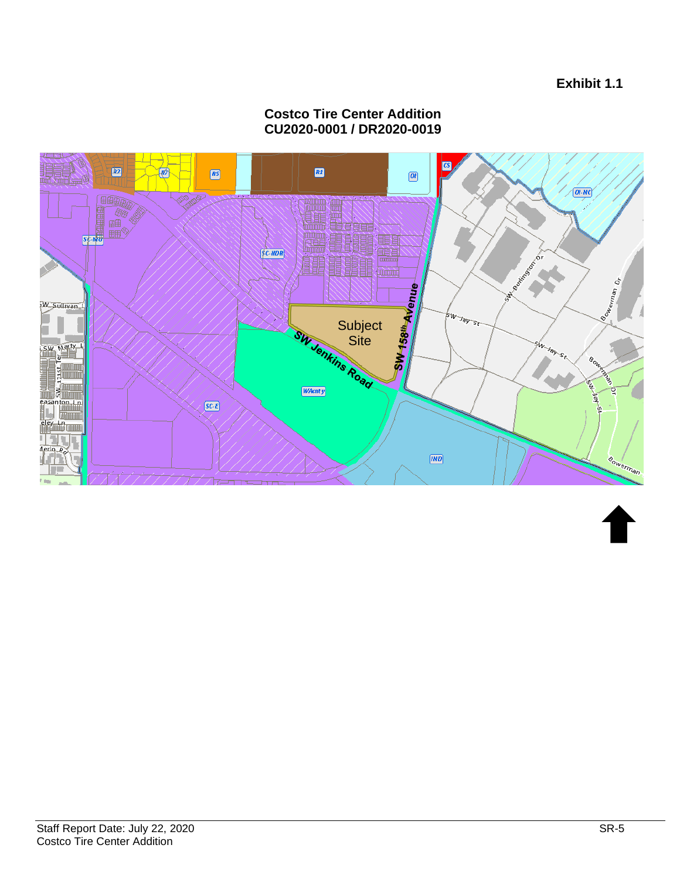**Exhibit 1.1**

#### Γos 四  $\boxed{25}$ 圖 网  $\boxed{\mathbf{a}}$  $\sqrt{QH \cdot NC}$ 田田田田 高麗 體重 鼺 匷 W. Boster Brook **SW158<sup>th</sup>Avenue**  $\mathcal{S}$ **Bowerman D** 4 W Sullivan 1 **BW Jay St Subject Site** SW Joy St. **SW Marty L** è,  $\begin{bmatrix} 1 \\ 1 \\ 2 \\ 3 \\ 4 \end{bmatrix}$ **WAcnty** easanton I.a<br>I  $SCE$ **TARTITUDE** eley du Timur erlo Sowerman  $[\overline{IND}]$

#### **Costco Tire Center Addition CU2020-0001 / DR2020-0019**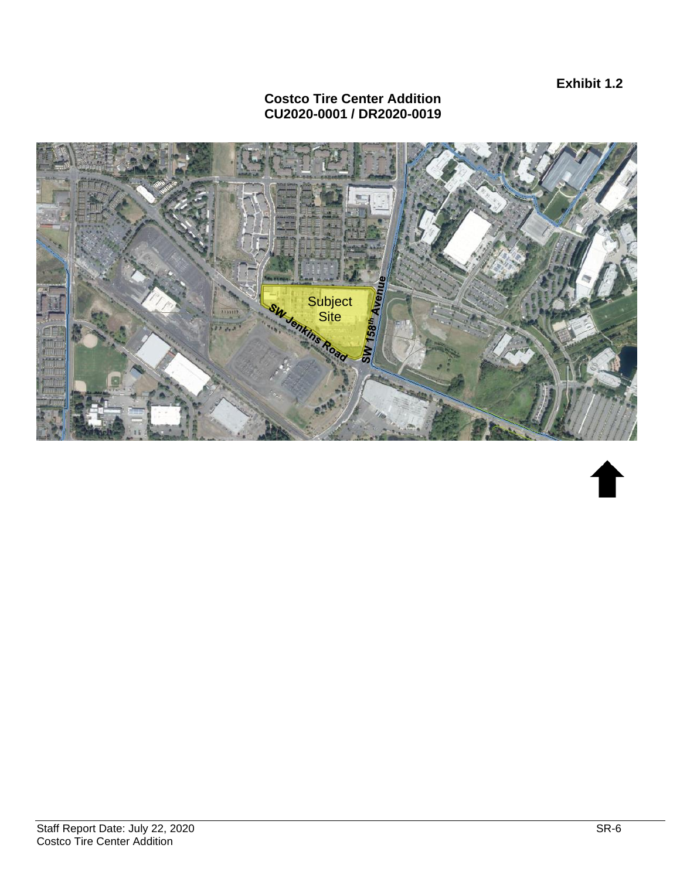**Exhibit 1.2**

#### **Costco Tire Center Addition CU2020-0001 / DR2020-0019**

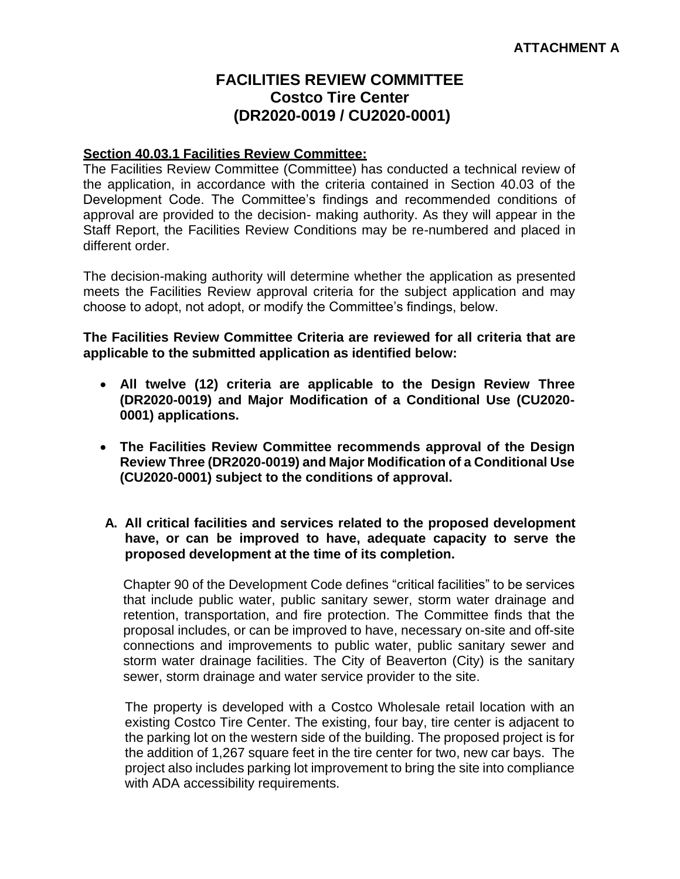## **FACILITIES REVIEW COMMITTEE Costco Tire Center (DR2020-0019 / CU2020-0001)**

#### **Section 40.03.1 Facilities Review Committee:**

The Facilities Review Committee (Committee) has conducted a technical review of the application, in accordance with the criteria contained in Section 40.03 of the Development Code. The Committee's findings and recommended conditions of approval are provided to the decision- making authority. As they will appear in the Staff Report, the Facilities Review Conditions may be re-numbered and placed in different order.

The decision-making authority will determine whether the application as presented meets the Facilities Review approval criteria for the subject application and may choose to adopt, not adopt, or modify the Committee's findings, below.

**The Facilities Review Committee Criteria are reviewed for all criteria that are applicable to the submitted application as identified below:**

- **All twelve (12) criteria are applicable to the Design Review Three (DR2020-0019) and Major Modification of a Conditional Use (CU2020- 0001) applications.**
- **The Facilities Review Committee recommends approval of the Design Review Three (DR2020-0019) and Major Modification of a Conditional Use (CU2020-0001) subject to the conditions of approval.**
- **A. All critical facilities and services related to the proposed development have, or can be improved to have, adequate capacity to serve the proposed development at the time of its completion.**

Chapter 90 of the Development Code defines "critical facilities" to be services that include public water, public sanitary sewer, storm water drainage and retention, transportation, and fire protection. The Committee finds that the proposal includes, or can be improved to have, necessary on-site and off-site connections and improvements to public water, public sanitary sewer and storm water drainage facilities. The City of Beaverton (City) is the sanitary sewer, storm drainage and water service provider to the site.

The property is developed with a Costco Wholesale retail location with an existing Costco Tire Center. The existing, four bay, tire center is adjacent to the parking lot on the western side of the building. The proposed project is for the addition of 1,267 square feet in the tire center for two, new car bays. The project also includes parking lot improvement to bring the site into compliance with ADA accessibility requirements.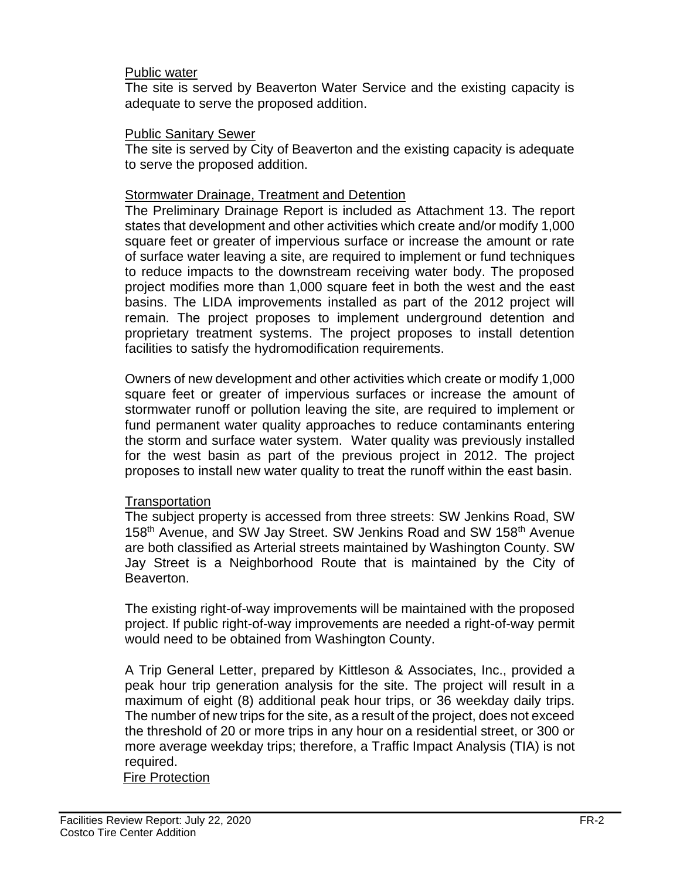#### Public water

The site is served by Beaverton Water Service and the existing capacity is adequate to serve the proposed addition.

#### Public Sanitary Sewer

The site is served by City of Beaverton and the existing capacity is adequate to serve the proposed addition.

#### Stormwater Drainage, Treatment and Detention

The Preliminary Drainage Report is included as Attachment 13. The report states that development and other activities which create and/or modify 1,000 square feet or greater of impervious surface or increase the amount or rate of surface water leaving a site, are required to implement or fund techniques to reduce impacts to the downstream receiving water body. The proposed project modifies more than 1,000 square feet in both the west and the east basins. The LIDA improvements installed as part of the 2012 project will remain. The project proposes to implement underground detention and proprietary treatment systems. The project proposes to install detention facilities to satisfy the hydromodification requirements.

Owners of new development and other activities which create or modify 1,000 square feet or greater of impervious surfaces or increase the amount of stormwater runoff or pollution leaving the site, are required to implement or fund permanent water quality approaches to reduce contaminants entering the storm and surface water system. Water quality was previously installed for the west basin as part of the previous project in 2012. The project proposes to install new water quality to treat the runoff within the east basin.

#### **Transportation**

The subject property is accessed from three streets: SW Jenkins Road, SW 158<sup>th</sup> Avenue, and SW Jay Street. SW Jenkins Road and SW 158<sup>th</sup> Avenue are both classified as Arterial streets maintained by Washington County. SW Jay Street is a Neighborhood Route that is maintained by the City of Beaverton.

The existing right-of-way improvements will be maintained with the proposed project. If public right-of-way improvements are needed a right-of-way permit would need to be obtained from Washington County.

A Trip General Letter, prepared by Kittleson & Associates, Inc., provided a peak hour trip generation analysis for the site. The project will result in a maximum of eight (8) additional peak hour trips, or 36 weekday daily trips. The number of new trips for the site, as a result of the project, does not exceed the threshold of 20 or more trips in any hour on a residential street, or 300 or more average weekday trips; therefore, a Traffic Impact Analysis (TIA) is not required.

Fire Protection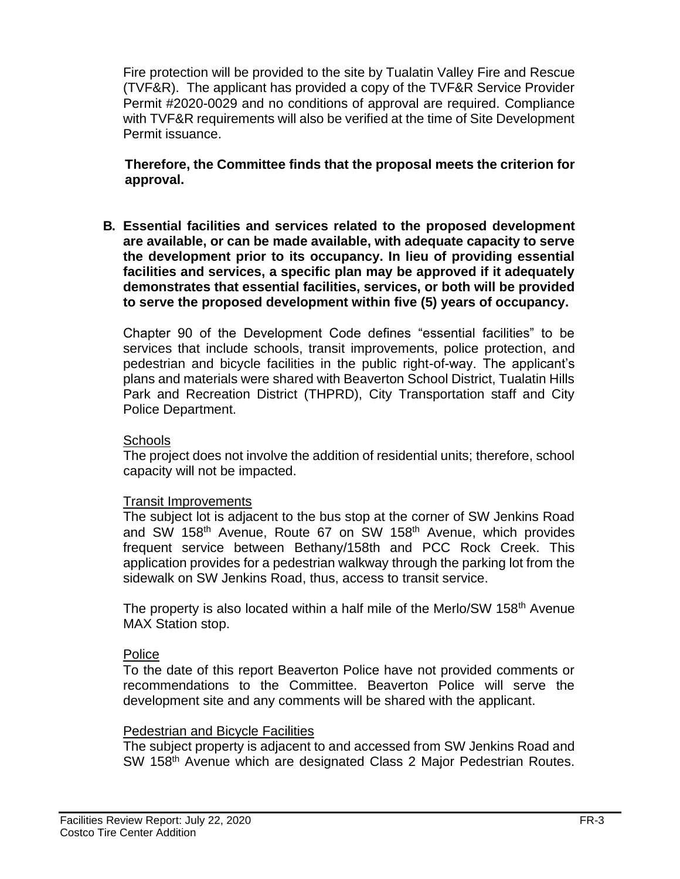Fire protection will be provided to the site by Tualatin Valley Fire and Rescue (TVF&R). The applicant has provided a copy of the TVF&R Service Provider Permit #2020-0029 and no conditions of approval are required. Compliance with TVF&R requirements will also be verified at the time of Site Development Permit issuance.

**Therefore, the Committee finds that the proposal meets the criterion for approval.**

**B. Essential facilities and services related to the proposed development are available, or can be made available, with adequate capacity to serve the development prior to its occupancy. In lieu of providing essential facilities and services, a specific plan may be approved if it adequately demonstrates that essential facilities, services, or both will be provided to serve the proposed development within five (5) years of occupancy.**

Chapter 90 of the Development Code defines "essential facilities" to be services that include schools, transit improvements, police protection, and pedestrian and bicycle facilities in the public right-of-way. The applicant's plans and materials were shared with Beaverton School District, Tualatin Hills Park and Recreation District (THPRD), City Transportation staff and City Police Department.

#### **Schools**

The project does not involve the addition of residential units; therefore, school capacity will not be impacted.

#### Transit Improvements

The subject lot is adjacent to the bus stop at the corner of SW Jenkins Road and SW 158<sup>th</sup> Avenue, Route 67 on SW 158<sup>th</sup> Avenue, which provides frequent service between Bethany/158th and PCC Rock Creek. This application provides for a pedestrian walkway through the parking lot from the sidewalk on SW Jenkins Road, thus, access to transit service.

The property is also located within a half mile of the Merlo/SW 158<sup>th</sup> Avenue MAX Station stop.

#### Police

To the date of this report Beaverton Police have not provided comments or recommendations to the Committee. Beaverton Police will serve the development site and any comments will be shared with the applicant.

#### Pedestrian and Bicycle Facilities

The subject property is adjacent to and accessed from SW Jenkins Road and SW 158<sup>th</sup> Avenue which are designated Class 2 Major Pedestrian Routes.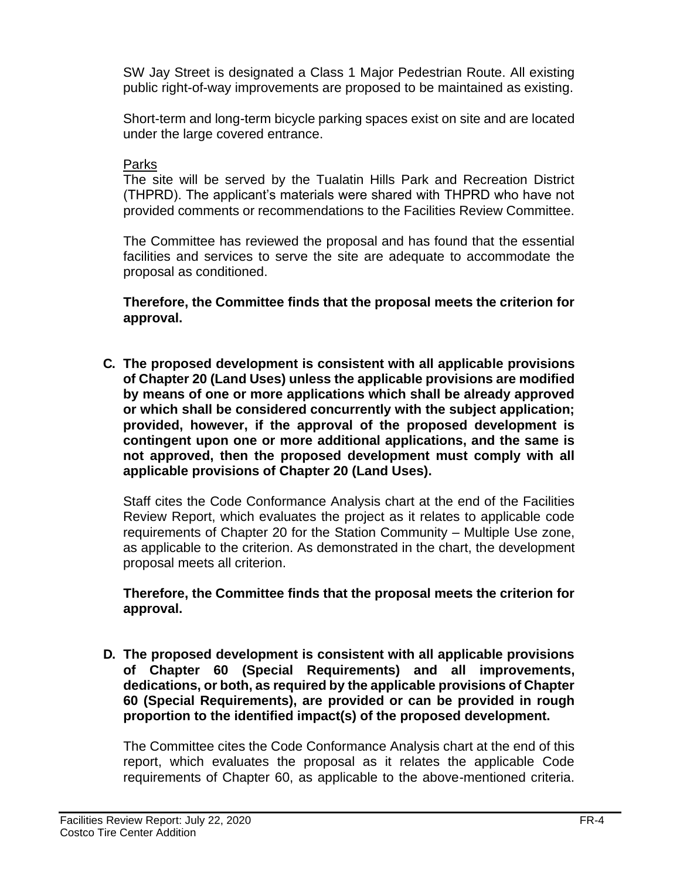SW Jay Street is designated a Class 1 Major Pedestrian Route. All existing public right-of-way improvements are proposed to be maintained as existing.

Short-term and long-term bicycle parking spaces exist on site and are located under the large covered entrance.

#### Parks

The site will be served by the Tualatin Hills Park and Recreation District (THPRD). The applicant's materials were shared with THPRD who have not provided comments or recommendations to the Facilities Review Committee.

The Committee has reviewed the proposal and has found that the essential facilities and services to serve the site are adequate to accommodate the proposal as conditioned.

**Therefore, the Committee finds that the proposal meets the criterion for approval.**

**C. The proposed development is consistent with all applicable provisions of Chapter 20 (Land Uses) unless the applicable provisions are modified by means of one or more applications which shall be already approved or which shall be considered concurrently with the subject application; provided, however, if the approval of the proposed development is contingent upon one or more additional applications, and the same is not approved, then the proposed development must comply with all applicable provisions of Chapter 20 (Land Uses).**

Staff cites the Code Conformance Analysis chart at the end of the Facilities Review Report, which evaluates the project as it relates to applicable code requirements of Chapter 20 for the Station Community – Multiple Use zone, as applicable to the criterion. As demonstrated in the chart, the development proposal meets all criterion.

**Therefore, the Committee finds that the proposal meets the criterion for approval.**

**D. The proposed development is consistent with all applicable provisions of Chapter 60 (Special Requirements) and all improvements, dedications, or both, as required by the applicable provisions of Chapter 60 (Special Requirements), are provided or can be provided in rough proportion to the identified impact(s) of the proposed development.** 

The Committee cites the Code Conformance Analysis chart at the end of this report, which evaluates the proposal as it relates the applicable Code requirements of Chapter 60, as applicable to the above-mentioned criteria.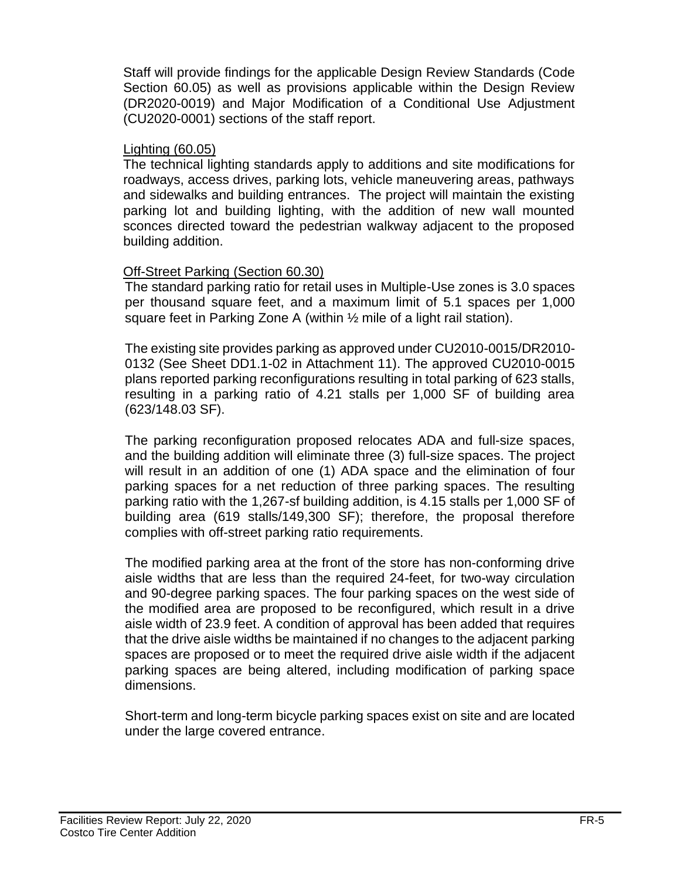Staff will provide findings for the applicable Design Review Standards (Code Section 60.05) as well as provisions applicable within the Design Review (DR2020-0019) and Major Modification of a Conditional Use Adjustment (CU2020-0001) sections of the staff report.

#### Lighting (60.05)

The technical lighting standards apply to additions and site modifications for roadways, access drives, parking lots, vehicle maneuvering areas, pathways and sidewalks and building entrances. The project will maintain the existing parking lot and building lighting, with the addition of new wall mounted sconces directed toward the pedestrian walkway adjacent to the proposed building addition.

## Off-Street Parking (Section 60.30)

The standard parking ratio for retail uses in Multiple-Use zones is 3.0 spaces per thousand square feet, and a maximum limit of 5.1 spaces per 1,000 square feet in Parking Zone A (within  $\frac{1}{2}$  mile of a light rail station).

The existing site provides parking as approved under CU2010-0015/DR2010- 0132 (See Sheet DD1.1-02 in Attachment 11). The approved CU2010-0015 plans reported parking reconfigurations resulting in total parking of 623 stalls, resulting in a parking ratio of 4.21 stalls per 1,000 SF of building area (623/148.03 SF).

The parking reconfiguration proposed relocates ADA and full-size spaces, and the building addition will eliminate three (3) full-size spaces. The project will result in an addition of one (1) ADA space and the elimination of four parking spaces for a net reduction of three parking spaces. The resulting parking ratio with the 1,267-sf building addition, is 4.15 stalls per 1,000 SF of building area (619 stalls/149,300 SF); therefore, the proposal therefore complies with off-street parking ratio requirements.

The modified parking area at the front of the store has non-conforming drive aisle widths that are less than the required 24-feet, for two-way circulation and 90-degree parking spaces. The four parking spaces on the west side of the modified area are proposed to be reconfigured, which result in a drive aisle width of 23.9 feet. A condition of approval has been added that requires that the drive aisle widths be maintained if no changes to the adjacent parking spaces are proposed or to meet the required drive aisle width if the adjacent parking spaces are being altered, including modification of parking space dimensions.

Short-term and long-term bicycle parking spaces exist on site and are located under the large covered entrance.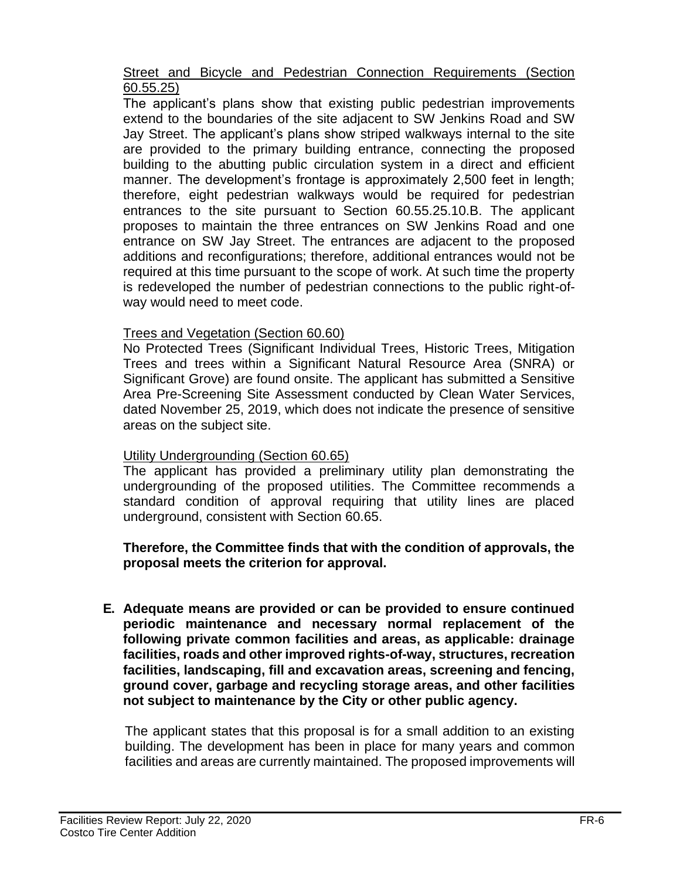#### Street and Bicycle and Pedestrian Connection Requirements (Section 60.55.25)

The applicant's plans show that existing public pedestrian improvements extend to the boundaries of the site adjacent to SW Jenkins Road and SW Jay Street. The applicant's plans show striped walkways internal to the site are provided to the primary building entrance, connecting the proposed building to the abutting public circulation system in a direct and efficient manner. The development's frontage is approximately 2,500 feet in length; therefore, eight pedestrian walkways would be required for pedestrian entrances to the site pursuant to Section 60.55.25.10.B. The applicant proposes to maintain the three entrances on SW Jenkins Road and one entrance on SW Jay Street. The entrances are adjacent to the proposed additions and reconfigurations; therefore, additional entrances would not be required at this time pursuant to the scope of work. At such time the property is redeveloped the number of pedestrian connections to the public right-ofway would need to meet code.

## Trees and Vegetation (Section 60.60)

No Protected Trees (Significant Individual Trees, Historic Trees, Mitigation Trees and trees within a Significant Natural Resource Area (SNRA) or Significant Grove) are found onsite. The applicant has submitted a Sensitive Area Pre-Screening Site Assessment conducted by Clean Water Services, dated November 25, 2019, which does not indicate the presence of sensitive areas on the subject site.

#### Utility Undergrounding (Section 60.65)

The applicant has provided a preliminary utility plan demonstrating the undergrounding of the proposed utilities. The Committee recommends a standard condition of approval requiring that utility lines are placed underground, consistent with Section 60.65.

## **Therefore, the Committee finds that with the condition of approvals, the proposal meets the criterion for approval.**

**E. Adequate means are provided or can be provided to ensure continued periodic maintenance and necessary normal replacement of the following private common facilities and areas, as applicable: drainage facilities, roads and other improved rights-of-way, structures, recreation facilities, landscaping, fill and excavation areas, screening and fencing, ground cover, garbage and recycling storage areas, and other facilities not subject to maintenance by the City or other public agency.**

The applicant states that this proposal is for a small addition to an existing building. The development has been in place for many years and common facilities and areas are currently maintained. The proposed improvements will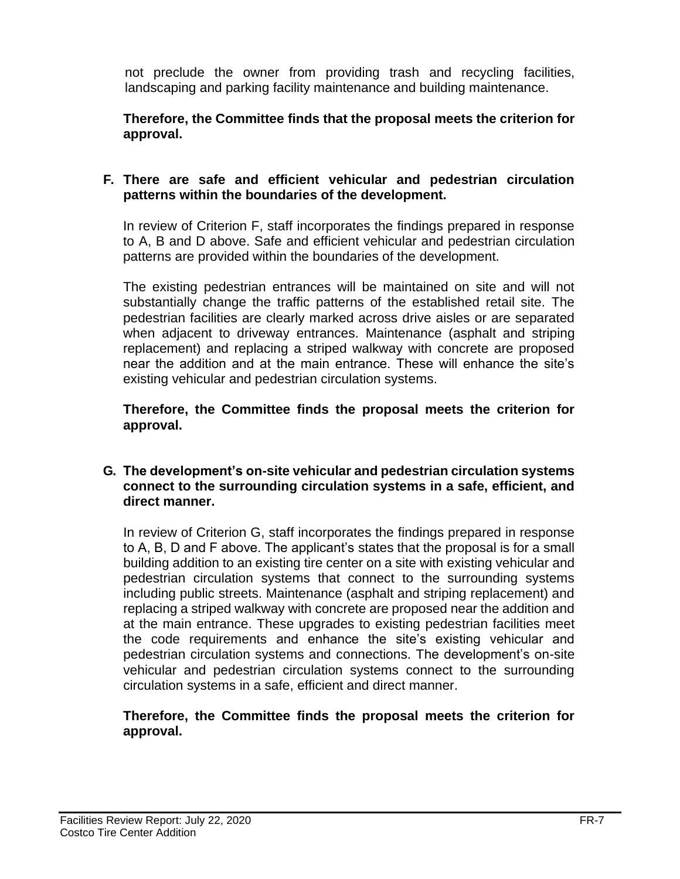not preclude the owner from providing trash and recycling facilities, landscaping and parking facility maintenance and building maintenance.

**Therefore, the Committee finds that the proposal meets the criterion for approval.**

#### **F. There are safe and efficient vehicular and pedestrian circulation patterns within the boundaries of the development.**

In review of Criterion F, staff incorporates the findings prepared in response to A, B and D above. Safe and efficient vehicular and pedestrian circulation patterns are provided within the boundaries of the development.

The existing pedestrian entrances will be maintained on site and will not substantially change the traffic patterns of the established retail site. The pedestrian facilities are clearly marked across drive aisles or are separated when adjacent to driveway entrances. Maintenance (asphalt and striping replacement) and replacing a striped walkway with concrete are proposed near the addition and at the main entrance. These will enhance the site's existing vehicular and pedestrian circulation systems.

**Therefore, the Committee finds the proposal meets the criterion for approval.**

#### **G. The development's on-site vehicular and pedestrian circulation systems connect to the surrounding circulation systems in a safe, efficient, and direct manner.**

In review of Criterion G, staff incorporates the findings prepared in response to A, B, D and F above. The applicant's states that the proposal is for a small building addition to an existing tire center on a site with existing vehicular and pedestrian circulation systems that connect to the surrounding systems including public streets. Maintenance (asphalt and striping replacement) and replacing a striped walkway with concrete are proposed near the addition and at the main entrance. These upgrades to existing pedestrian facilities meet the code requirements and enhance the site's existing vehicular and pedestrian circulation systems and connections. The development's on-site vehicular and pedestrian circulation systems connect to the surrounding circulation systems in a safe, efficient and direct manner.

#### **Therefore, the Committee finds the proposal meets the criterion for approval.**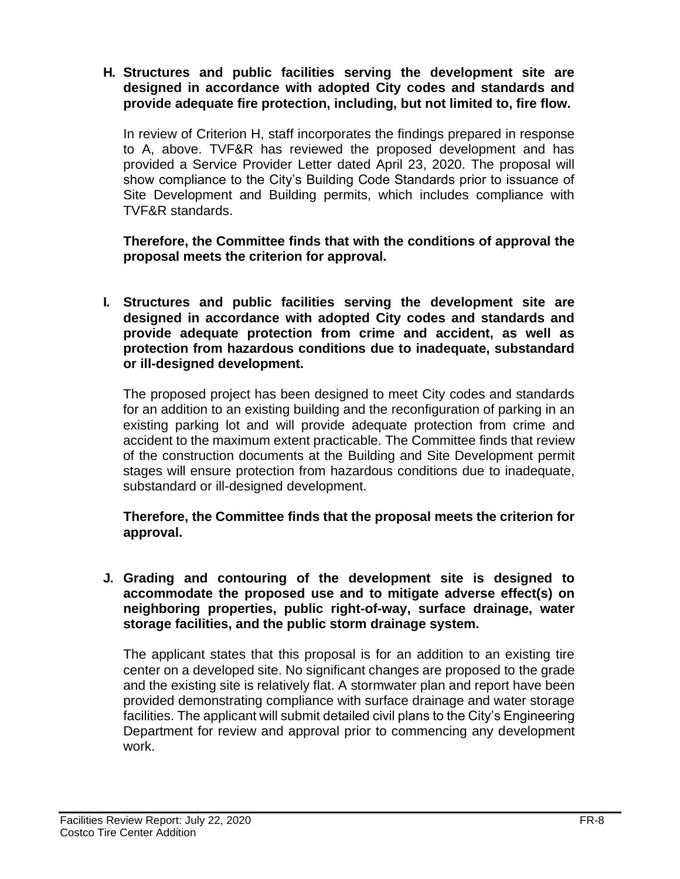**H. Structures and public facilities serving the development site are designed in accordance with adopted City codes and standards and provide adequate fire protection, including, but not limited to, fire flow.**

In review of Criterion H, staff incorporates the findings prepared in response to A, above. TVF&R has reviewed the proposed development and has provided a Service Provider Letter dated April 23, 2020. The proposal will show compliance to the City's Building Code Standards prior to issuance of Site Development and Building permits, which includes compliance with TVF&R standards.

**Therefore, the Committee finds that with the conditions of approval the proposal meets the criterion for approval.**

**I. Structures and public facilities serving the development site are designed in accordance with adopted City codes and standards and provide adequate protection from crime and accident, as well as protection from hazardous conditions due to inadequate, substandard or ill-designed development.**

The proposed project has been designed to meet City codes and standards for an addition to an existing building and the reconfiguration of parking in an existing parking lot and will provide adequate protection from crime and accident to the maximum extent practicable. The Committee finds that review of the construction documents at the Building and Site Development permit stages will ensure protection from hazardous conditions due to inadequate, substandard or ill-designed development.

**Therefore, the Committee finds that the proposal meets the criterion for approval.**

**J. Grading and contouring of the development site is designed to accommodate the proposed use and to mitigate adverse effect(s) on neighboring properties, public right-of-way, surface drainage, water storage facilities, and the public storm drainage system.**

The applicant states that this proposal is for an addition to an existing tire center on a developed site. No significant changes are proposed to the grade and the existing site is relatively flat. A stormwater plan and report have been provided demonstrating compliance with surface drainage and water storage facilities. The applicant will submit detailed civil plans to the City's Engineering Department for review and approval prior to commencing any development work.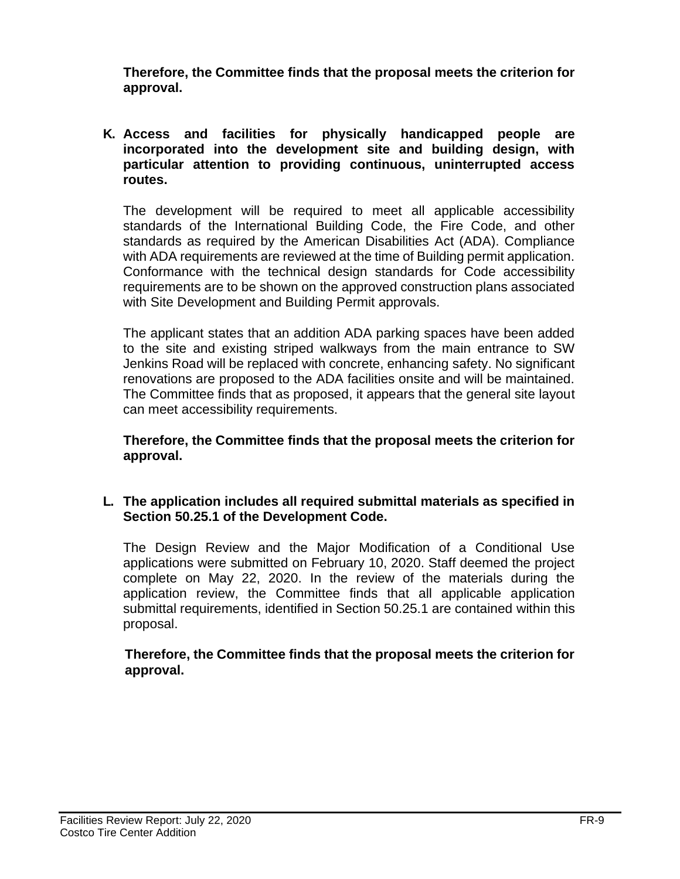**Therefore, the Committee finds that the proposal meets the criterion for approval.**

**K. Access and facilities for physically handicapped people are incorporated into the development site and building design, with particular attention to providing continuous, uninterrupted access routes.**

The development will be required to meet all applicable accessibility standards of the International Building Code, the Fire Code, and other standards as required by the American Disabilities Act (ADA). Compliance with ADA requirements are reviewed at the time of Building permit application. Conformance with the technical design standards for Code accessibility requirements are to be shown on the approved construction plans associated with Site Development and Building Permit approvals.

The applicant states that an addition ADA parking spaces have been added to the site and existing striped walkways from the main entrance to SW Jenkins Road will be replaced with concrete, enhancing safety. No significant renovations are proposed to the ADA facilities onsite and will be maintained. The Committee finds that as proposed, it appears that the general site layout can meet accessibility requirements.

**Therefore, the Committee finds that the proposal meets the criterion for approval.**

**L. The application includes all required submittal materials as specified in Section 50.25.1 of the Development Code.**

The Design Review and the Major Modification of a Conditional Use applications were submitted on February 10, 2020. Staff deemed the project complete on May 22, 2020. In the review of the materials during the application review, the Committee finds that all applicable application submittal requirements, identified in Section 50.25.1 are contained within this proposal.

**Therefore, the Committee finds that the proposal meets the criterion for approval.**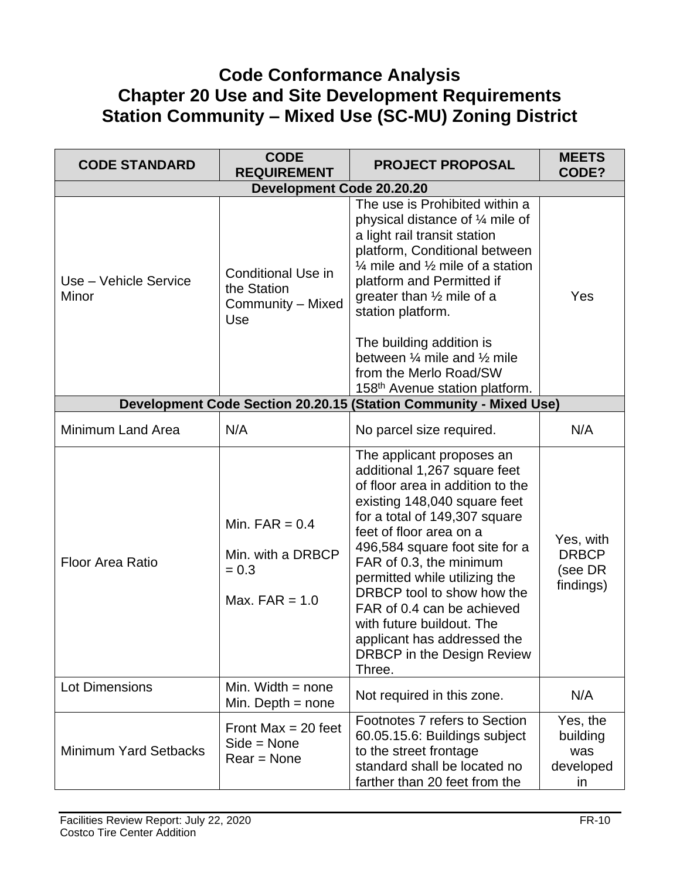## **Code Conformance Analysis Chapter 20 Use and Site Development Requirements Station Community – Mixed Use (SC-MU) Zoning District**

| <b>CODE STANDARD</b>             | <b>CODE</b><br><b>REQUIREMENT</b>                                    | <b>PROJECT PROPOSAL</b>                                                                                                                                                                                                                                                                                                                                                                                                                                        | <b>MEETS</b><br>CODE?                             |  |
|----------------------------------|----------------------------------------------------------------------|----------------------------------------------------------------------------------------------------------------------------------------------------------------------------------------------------------------------------------------------------------------------------------------------------------------------------------------------------------------------------------------------------------------------------------------------------------------|---------------------------------------------------|--|
| <b>Development Code 20.20.20</b> |                                                                      |                                                                                                                                                                                                                                                                                                                                                                                                                                                                |                                                   |  |
| Use - Vehicle Service<br>Minor   | <b>Conditional Use in</b><br>the Station<br>Community - Mixed<br>Use | The use is Prohibited within a<br>physical distance of 1/4 mile of<br>a light rail transit station<br>platform, Conditional between<br>$\frac{1}{4}$ mile and $\frac{1}{2}$ mile of a station<br>platform and Permitted if<br>greater than $\frac{1}{2}$ mile of a<br>station platform.                                                                                                                                                                        | Yes                                               |  |
|                                  |                                                                      | The building addition is<br>between $\frac{1}{4}$ mile and $\frac{1}{2}$ mile<br>from the Merlo Road/SW<br>158 <sup>th</sup> Avenue station platform.                                                                                                                                                                                                                                                                                                          |                                                   |  |
|                                  |                                                                      | Development Code Section 20.20.15 (Station Community - Mixed Use)                                                                                                                                                                                                                                                                                                                                                                                              |                                                   |  |
| Minimum Land Area                | N/A                                                                  | No parcel size required.                                                                                                                                                                                                                                                                                                                                                                                                                                       | N/A                                               |  |
| <b>Floor Area Ratio</b>          | Min. $FAR = 0.4$<br>Min. with a DRBCP<br>$= 0.3$<br>Max. $FAR = 1.0$ | The applicant proposes an<br>additional 1,267 square feet<br>of floor area in addition to the<br>existing 148,040 square feet<br>for a total of 149,307 square<br>feet of floor area on a<br>496,584 square foot site for a<br>FAR of 0.3, the minimum<br>permitted while utilizing the<br>DRBCP tool to show how the<br>FAR of 0.4 can be achieved<br>with future buildout. The<br>applicant has addressed the<br><b>DRBCP</b> in the Design Review<br>Three. | Yes, with<br><b>DRBCP</b><br>(see DR<br>findings) |  |
| <b>Lot Dimensions</b>            | Min. Width $=$ none<br>Min. Depth $=$ none                           | Not required in this zone.                                                                                                                                                                                                                                                                                                                                                                                                                                     | N/A                                               |  |
| <b>Minimum Yard Setbacks</b>     | Front Max = $20$ feet<br>$Side = None$<br>$Rear = None$              | Footnotes 7 refers to Section<br>60.05.15.6: Buildings subject<br>to the street frontage<br>standard shall be located no<br>farther than 20 feet from the                                                                                                                                                                                                                                                                                                      | Yes, the<br>building<br>was<br>developed<br>in    |  |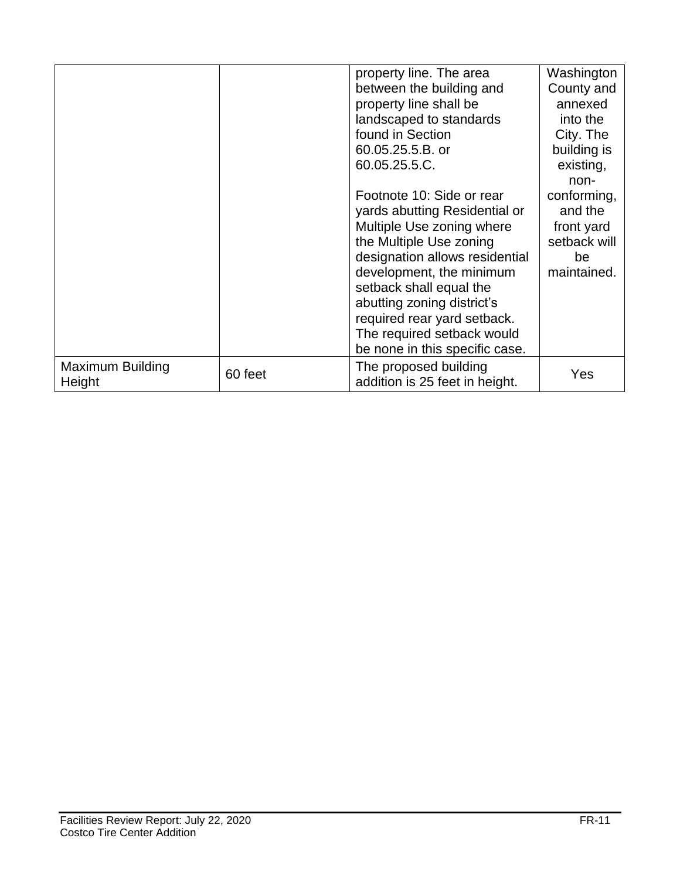|                                   |         | property line. The area                                 | Washington   |
|-----------------------------------|---------|---------------------------------------------------------|--------------|
|                                   |         | between the building and                                | County and   |
|                                   |         | property line shall be                                  | annexed      |
|                                   |         | landscaped to standards                                 | into the     |
|                                   |         | found in Section                                        | City. The    |
|                                   |         | 60.05.25.5.B. or                                        | building is  |
|                                   |         | 60.05.25.5.C.                                           | existing,    |
|                                   |         |                                                         | non-         |
|                                   |         | Footnote 10: Side or rear                               | conforming,  |
|                                   |         | yards abutting Residential or                           | and the      |
|                                   |         | Multiple Use zoning where                               | front yard   |
|                                   |         | the Multiple Use zoning                                 | setback will |
|                                   |         | designation allows residential                          | be           |
|                                   |         | development, the minimum                                | maintained.  |
|                                   |         | setback shall equal the                                 |              |
|                                   |         | abutting zoning district's                              |              |
|                                   |         | required rear yard setback.                             |              |
|                                   |         | The required setback would                              |              |
|                                   |         | be none in this specific case.                          |              |
| <b>Maximum Building</b><br>Height | 60 feet | The proposed building<br>addition is 25 feet in height. | Yes          |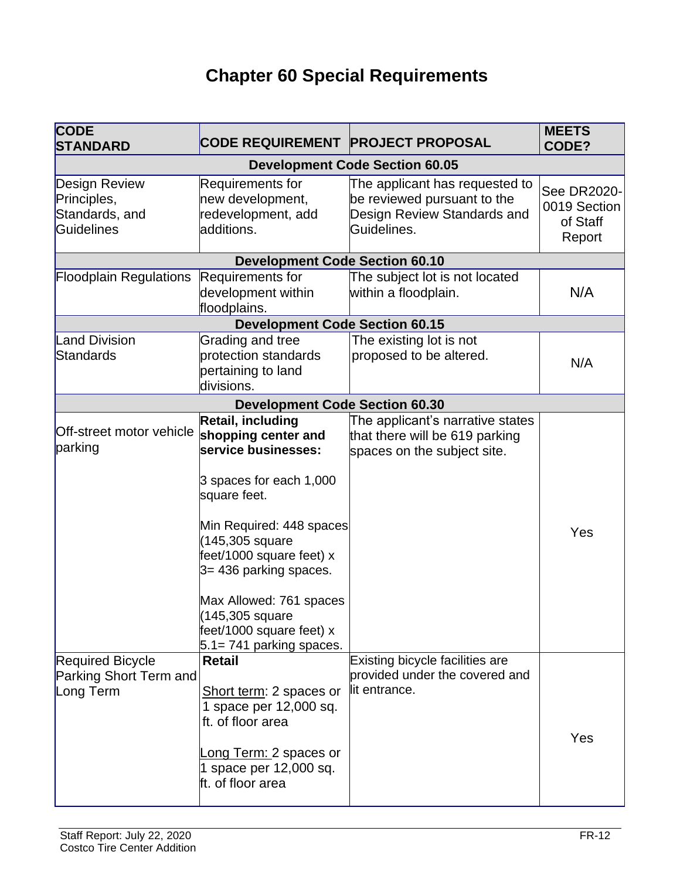# **Chapter 60 Special Requirements**

| <b>CODE</b><br><b>STANDARD</b>                                      | <b>CODE REQUIREMENT PROJECT PROPOSAL</b>                                                                                                                                                                                                                                                                                 |                                                                                                             | <b>MEETS</b><br>CODE?                             |
|---------------------------------------------------------------------|--------------------------------------------------------------------------------------------------------------------------------------------------------------------------------------------------------------------------------------------------------------------------------------------------------------------------|-------------------------------------------------------------------------------------------------------------|---------------------------------------------------|
| <b>Development Code Section 60.05</b>                               |                                                                                                                                                                                                                                                                                                                          |                                                                                                             |                                                   |
| <b>Design Review</b><br>Principles,<br>Standards, and<br>Guidelines | Requirements for<br>new development,<br>redevelopment, add<br>additions.                                                                                                                                                                                                                                                 | The applicant has requested to<br>be reviewed pursuant to the<br>Design Review Standards and<br>Guidelines. | See DR2020-<br>0019 Section<br>of Staff<br>Report |
|                                                                     | <b>Development Code Section 60.10</b>                                                                                                                                                                                                                                                                                    |                                                                                                             |                                                   |
| <b>Floodplain Regulations</b>                                       | Requirements for<br>development within<br>floodplains.                                                                                                                                                                                                                                                                   | The subject lot is not located<br>within a floodplain.                                                      | N/A                                               |
|                                                                     | <b>Development Code Section 60.15</b>                                                                                                                                                                                                                                                                                    |                                                                                                             |                                                   |
| <b>Land Division</b><br>Standards                                   | Grading and tree<br>protection standards<br>pertaining to land<br>divisions.                                                                                                                                                                                                                                             | The existing lot is not<br>proposed to be altered.                                                          | N/A                                               |
|                                                                     | <b>Development Code Section 60.30</b>                                                                                                                                                                                                                                                                                    |                                                                                                             |                                                   |
| Off-street motor vehicle<br>parking                                 | Retail, including<br>shopping center and<br>service businesses:<br>3 spaces for each 1,000<br>square feet.<br>Min Required: 448 spaces<br>(145,305 square<br>feet/1000 square feet) x<br>3= 436 parking spaces.<br>Max Allowed: 761 spaces<br>(145,305 square<br>feet/1000 square feet) x<br>$5.1 = 741$ parking spaces. | The applicant's narrative states<br>that there will be 619 parking<br>spaces on the subject site.           | Yes                                               |
| <b>Required Bicycle</b><br>Parking Short Term and<br>Long Term      | <b>Retail</b><br>Short term: 2 spaces or<br>1 space per 12,000 sq.<br>ft. of floor area<br>Long Term: 2 spaces or<br>1 space per 12,000 sq.<br>ft. of floor area                                                                                                                                                         | Existing bicycle facilities are<br>provided under the covered and<br>lit entrance.                          | Yes                                               |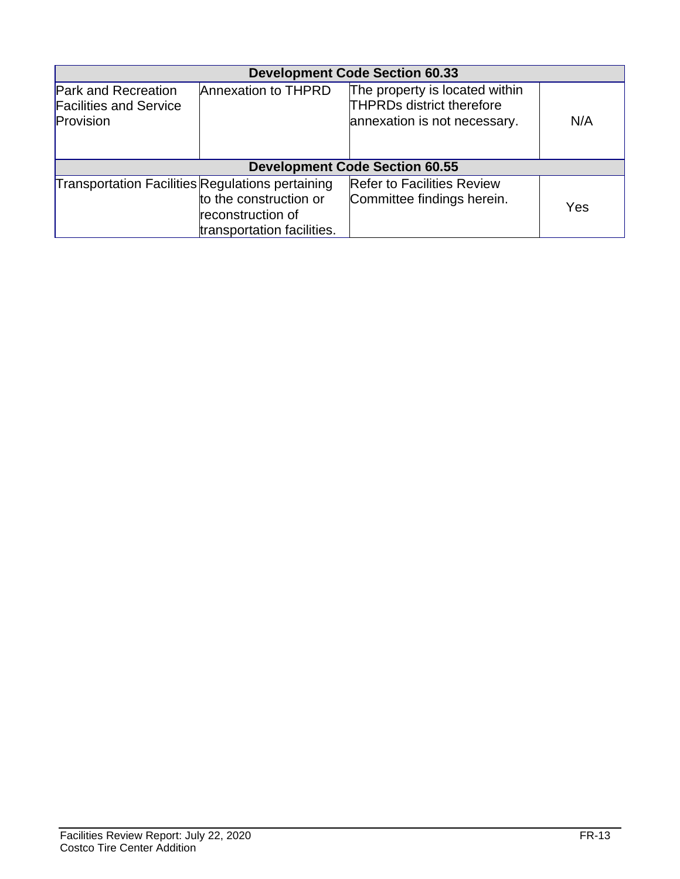| <b>Development Code Section 60.33</b>                                    |                                                                           |                                                                                                    |     |  |
|--------------------------------------------------------------------------|---------------------------------------------------------------------------|----------------------------------------------------------------------------------------------------|-----|--|
| <b>Park and Recreation</b><br><b>Facilities and Service</b><br>Provision | Annexation to THPRD                                                       | The property is located within<br><b>THPRDs district therefore</b><br>annexation is not necessary. | N/A |  |
|                                                                          | <b>Development Code Section 60.55</b>                                     |                                                                                                    |     |  |
| Transportation Facilities Regulations pertaining                         | to the construction or<br>reconstruction of<br>transportation facilities. | <b>Refer to Facilities Review</b><br>Committee findings herein.                                    | Yes |  |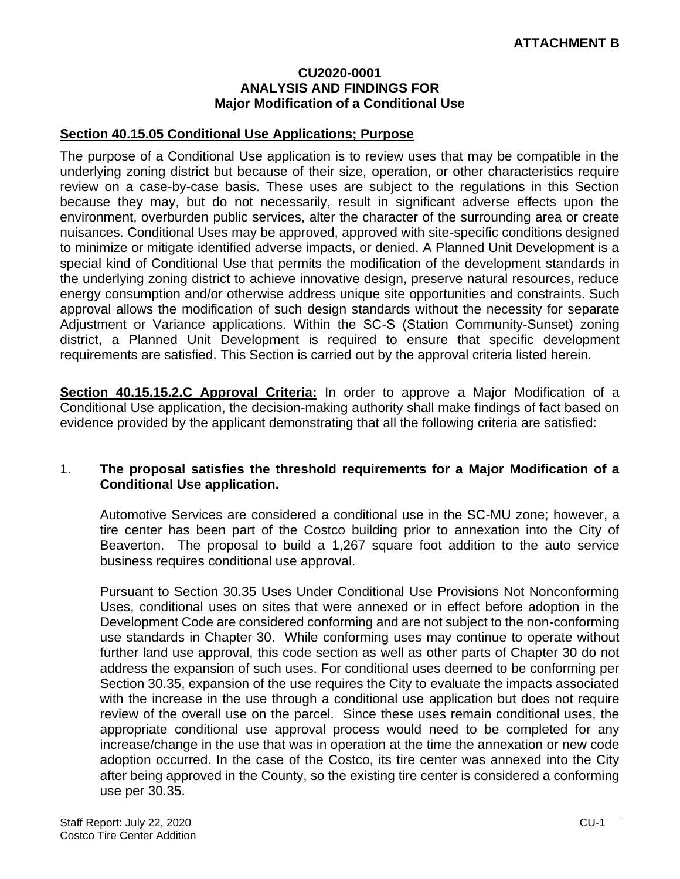#### **CU2020-0001 ANALYSIS AND FINDINGS FOR Major Modification of a Conditional Use**

#### **Section 40.15.05 Conditional Use Applications; Purpose**

The purpose of a Conditional Use application is to review uses that may be compatible in the underlying zoning district but because of their size, operation, or other characteristics require review on a case-by-case basis. These uses are subject to the regulations in this Section because they may, but do not necessarily, result in significant adverse effects upon the environment, overburden public services, alter the character of the surrounding area or create nuisances. Conditional Uses may be approved, approved with site-specific conditions designed to minimize or mitigate identified adverse impacts, or denied. A Planned Unit Development is a special kind of Conditional Use that permits the modification of the development standards in the underlying zoning district to achieve innovative design, preserve natural resources, reduce energy consumption and/or otherwise address unique site opportunities and constraints. Such approval allows the modification of such design standards without the necessity for separate Adjustment or Variance applications. Within the SC-S (Station Community-Sunset) zoning district, a Planned Unit Development is required to ensure that specific development requirements are satisfied. This Section is carried out by the approval criteria listed herein.

**Section 40.15.15.2.C Approval Criteria:** In order to approve a Major Modification of a Conditional Use application, the decision-making authority shall make findings of fact based on evidence provided by the applicant demonstrating that all the following criteria are satisfied:

#### 1. **The proposal satisfies the threshold requirements for a Major Modification of a Conditional Use application.**

Automotive Services are considered a conditional use in the SC-MU zone; however, a tire center has been part of the Costco building prior to annexation into the City of Beaverton. The proposal to build a 1,267 square foot addition to the auto service business requires conditional use approval.

Pursuant to Section 30.35 Uses Under Conditional Use Provisions Not Nonconforming Uses, conditional uses on sites that were annexed or in effect before adoption in the Development Code are considered conforming and are not subject to the non-conforming use standards in Chapter 30. While conforming uses may continue to operate without further land use approval, this code section as well as other parts of Chapter 30 do not address the expansion of such uses. For conditional uses deemed to be conforming per Section 30.35, expansion of the use requires the City to evaluate the impacts associated with the increase in the use through a conditional use application but does not require review of the overall use on the parcel. Since these uses remain conditional uses, the appropriate conditional use approval process would need to be completed for any increase/change in the use that was in operation at the time the annexation or new code adoption occurred. In the case of the Costco, its tire center was annexed into the City after being approved in the County, so the existing tire center is considered a conforming use per 30.35.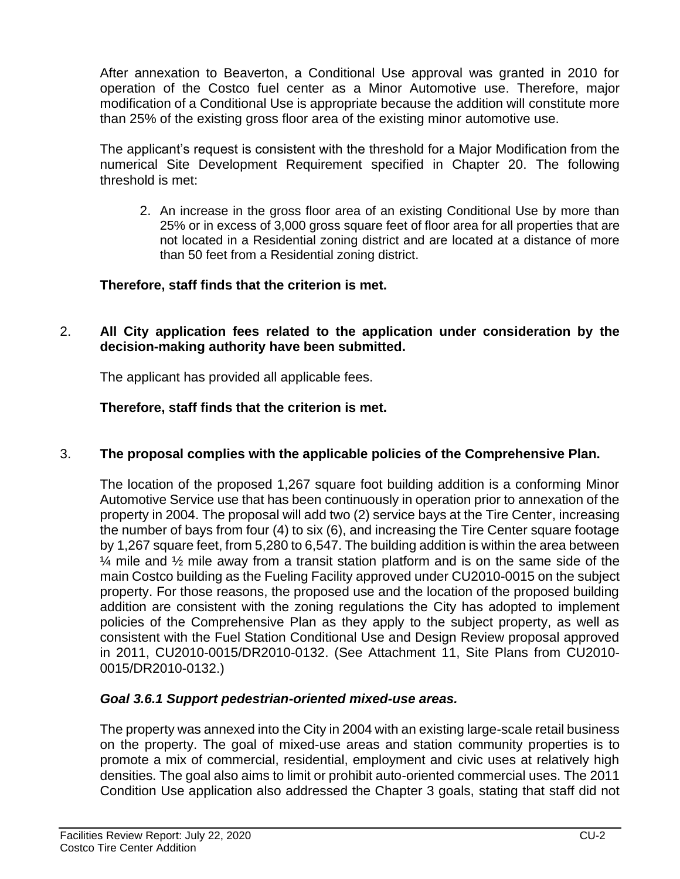After annexation to Beaverton, a Conditional Use approval was granted in 2010 for operation of the Costco fuel center as a Minor Automotive use. Therefore, major modification of a Conditional Use is appropriate because the addition will constitute more than 25% of the existing gross floor area of the existing minor automotive use.

The applicant's request is consistent with the threshold for a Major Modification from the numerical Site Development Requirement specified in Chapter 20. The following threshold is met:

2. An increase in the gross floor area of an existing Conditional Use by more than 25% or in excess of 3,000 gross square feet of floor area for all properties that are not located in a Residential zoning district and are located at a distance of more than 50 feet from a Residential zoning district.

## **Therefore, staff finds that the criterion is met.**

2. **All City application fees related to the application under consideration by the decision-making authority have been submitted.** 

The applicant has provided all applicable fees.

## **Therefore, staff finds that the criterion is met.**

#### 3. **The proposal complies with the applicable policies of the Comprehensive Plan.**

The location of the proposed 1,267 square foot building addition is a conforming Minor Automotive Service use that has been continuously in operation prior to annexation of the property in 2004. The proposal will add two (2) service bays at the Tire Center, increasing the number of bays from four (4) to six (6), and increasing the Tire Center square footage by 1,267 square feet, from 5,280 to 6,547. The building addition is within the area between  $\frac{1}{4}$  mile and  $\frac{1}{2}$  mile away from a transit station platform and is on the same side of the main Costco building as the Fueling Facility approved under CU2010-0015 on the subject property. For those reasons, the proposed use and the location of the proposed building addition are consistent with the zoning regulations the City has adopted to implement policies of the Comprehensive Plan as they apply to the subject property, as well as consistent with the Fuel Station Conditional Use and Design Review proposal approved in 2011, CU2010-0015/DR2010-0132. (See Attachment 11, Site Plans from CU2010- 0015/DR2010-0132.)

## *Goal 3.6.1 Support pedestrian-oriented mixed-use areas.*

The property was annexed into the City in 2004 with an existing large-scale retail business on the property. The goal of mixed-use areas and station community properties is to promote a mix of commercial, residential, employment and civic uses at relatively high densities. The goal also aims to limit or prohibit auto-oriented commercial uses. The 2011 Condition Use application also addressed the Chapter 3 goals, stating that staff did not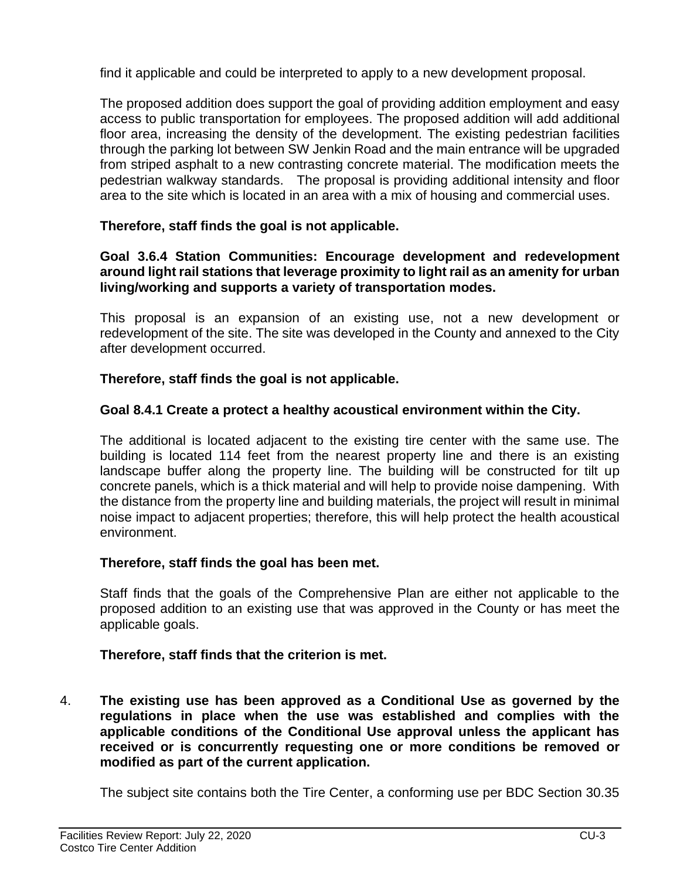find it applicable and could be interpreted to apply to a new development proposal.

The proposed addition does support the goal of providing addition employment and easy access to public transportation for employees. The proposed addition will add additional floor area, increasing the density of the development. The existing pedestrian facilities through the parking lot between SW Jenkin Road and the main entrance will be upgraded from striped asphalt to a new contrasting concrete material. The modification meets the pedestrian walkway standards. The proposal is providing additional intensity and floor area to the site which is located in an area with a mix of housing and commercial uses.

#### **Therefore, staff finds the goal is not applicable.**

#### **Goal 3.6.4 Station Communities: Encourage development and redevelopment around light rail stations that leverage proximity to light rail as an amenity for urban living/working and supports a variety of transportation modes.**

This proposal is an expansion of an existing use, not a new development or redevelopment of the site. The site was developed in the County and annexed to the City after development occurred.

#### **Therefore, staff finds the goal is not applicable.**

#### **Goal 8.4.1 Create a protect a healthy acoustical environment within the City.**

The additional is located adjacent to the existing tire center with the same use. The building is located 114 feet from the nearest property line and there is an existing landscape buffer along the property line. The building will be constructed for tilt up concrete panels, which is a thick material and will help to provide noise dampening. With the distance from the property line and building materials, the project will result in minimal noise impact to adjacent properties; therefore, this will help protect the health acoustical environment.

#### **Therefore, staff finds the goal has been met.**

Staff finds that the goals of the Comprehensive Plan are either not applicable to the proposed addition to an existing use that was approved in the County or has meet the applicable goals.

#### **Therefore, staff finds that the criterion is met.**

4. **The existing use has been approved as a Conditional Use as governed by the regulations in place when the use was established and complies with the applicable conditions of the Conditional Use approval unless the applicant has received or is concurrently requesting one or more conditions be removed or modified as part of the current application.**

The subject site contains both the Tire Center, a conforming use per BDC Section 30.35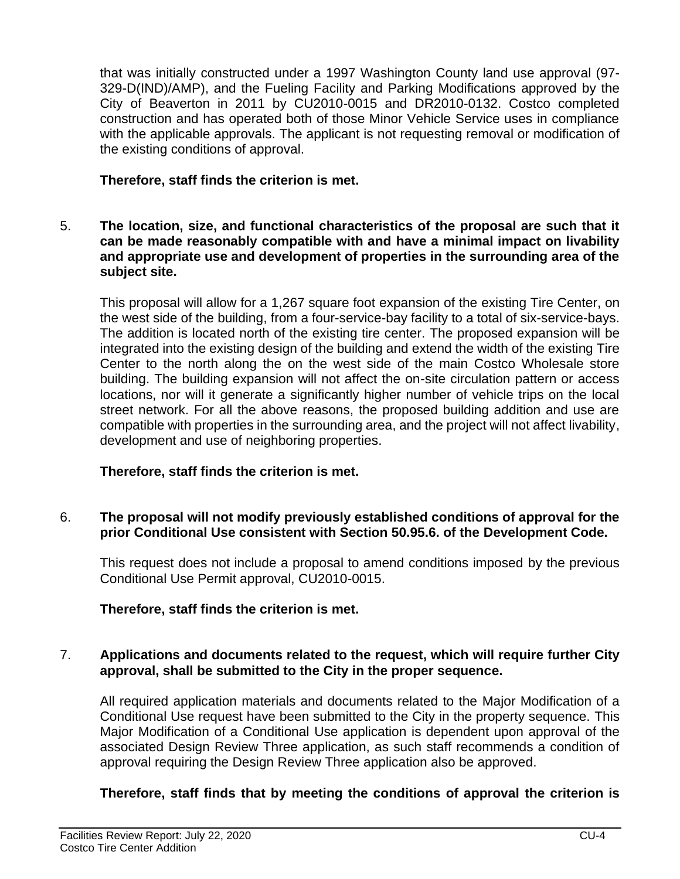that was initially constructed under a 1997 Washington County land use approval (97- 329-D(IND)/AMP), and the Fueling Facility and Parking Modifications approved by the City of Beaverton in 2011 by CU2010-0015 and DR2010-0132. Costco completed construction and has operated both of those Minor Vehicle Service uses in compliance with the applicable approvals. The applicant is not requesting removal or modification of the existing conditions of approval.

## **Therefore, staff finds the criterion is met.**

5. **The location, size, and functional characteristics of the proposal are such that it can be made reasonably compatible with and have a minimal impact on livability and appropriate use and development of properties in the surrounding area of the subject site.**

This proposal will allow for a 1,267 square foot expansion of the existing Tire Center, on the west side of the building, from a four-service-bay facility to a total of six-service-bays. The addition is located north of the existing tire center. The proposed expansion will be integrated into the existing design of the building and extend the width of the existing Tire Center to the north along the on the west side of the main Costco Wholesale store building. The building expansion will not affect the on-site circulation pattern or access locations, nor will it generate a significantly higher number of vehicle trips on the local street network. For all the above reasons, the proposed building addition and use are compatible with properties in the surrounding area, and the project will not affect livability, development and use of neighboring properties.

## **Therefore, staff finds the criterion is met.**

#### 6. **The proposal will not modify previously established conditions of approval for the prior Conditional Use consistent with Section 50.95.6. of the Development Code.**

This request does not include a proposal to amend conditions imposed by the previous Conditional Use Permit approval, CU2010-0015.

#### **Therefore, staff finds the criterion is met.**

#### 7. **Applications and documents related to the request, which will require further City approval, shall be submitted to the City in the proper sequence.**

All required application materials and documents related to the Major Modification of a Conditional Use request have been submitted to the City in the property sequence. This Major Modification of a Conditional Use application is dependent upon approval of the associated Design Review Three application, as such staff recommends a condition of approval requiring the Design Review Three application also be approved.

## **Therefore, staff finds that by meeting the conditions of approval the criterion is**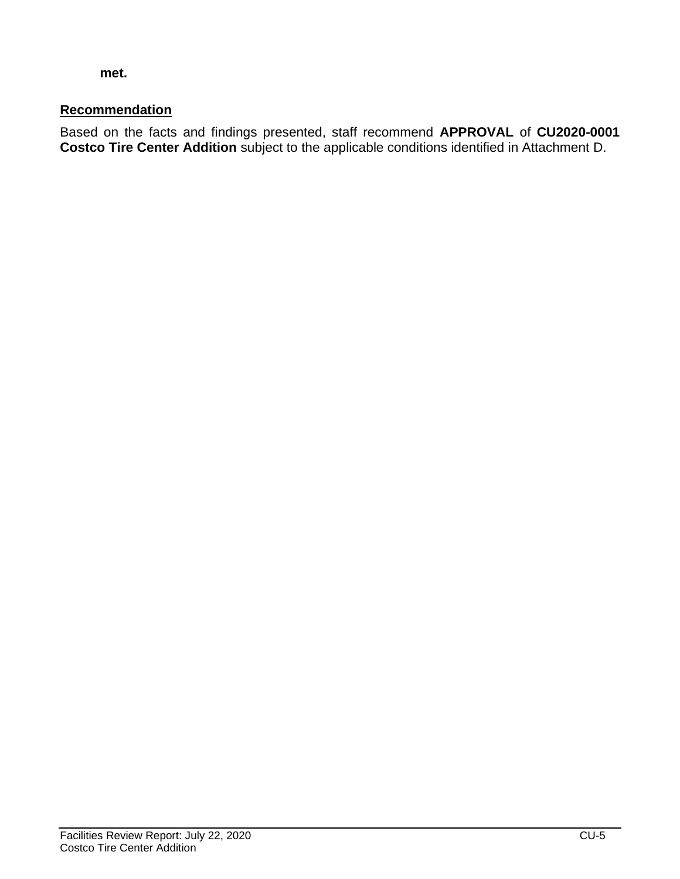**met.**

### **Recommendation**

Based on the facts and findings presented, staff recommend **APPROVAL** of **CU2020-0001 Costco Tire Center Addition** subject to the applicable conditions identified in Attachment D.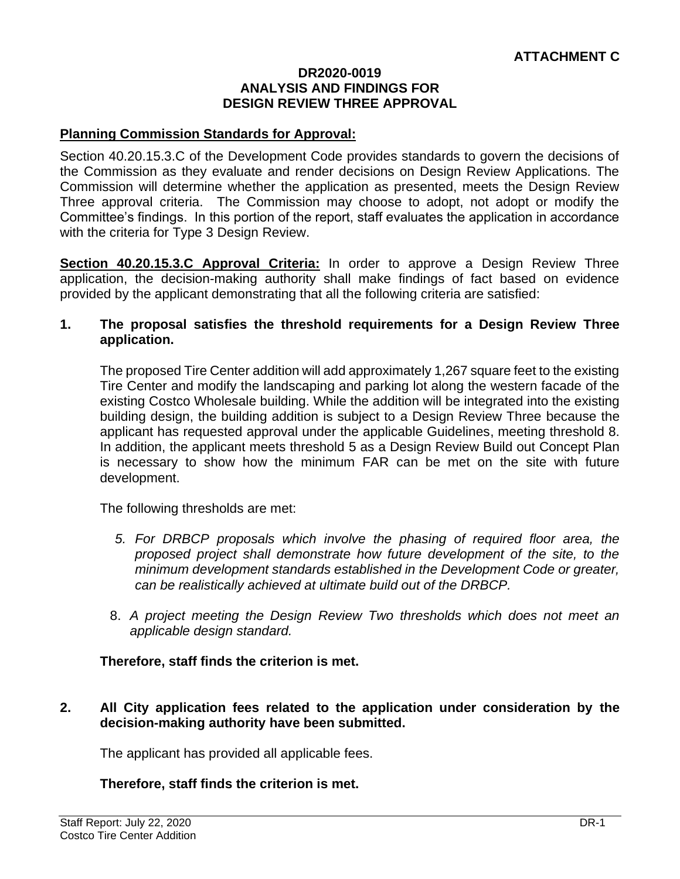#### **DR2020-0019 ANALYSIS AND FINDINGS FOR DESIGN REVIEW THREE APPROVAL**

#### **Planning Commission Standards for Approval:**

Section 40.20.15.3.C of the Development Code provides standards to govern the decisions of the Commission as they evaluate and render decisions on Design Review Applications. The Commission will determine whether the application as presented, meets the Design Review Three approval criteria. The Commission may choose to adopt, not adopt or modify the Committee's findings. In this portion of the report, staff evaluates the application in accordance with the criteria for Type 3 Design Review.

**Section 40.20.15.3.C Approval Criteria:** In order to approve a Design Review Three application, the decision-making authority shall make findings of fact based on evidence provided by the applicant demonstrating that all the following criteria are satisfied:

#### **1. The proposal satisfies the threshold requirements for a Design Review Three application.**

The proposed Tire Center addition will add approximately 1,267 square feet to the existing Tire Center and modify the landscaping and parking lot along the western facade of the existing Costco Wholesale building. While the addition will be integrated into the existing building design, the building addition is subject to a Design Review Three because the applicant has requested approval under the applicable Guidelines, meeting threshold 8. In addition, the applicant meets threshold 5 as a Design Review Build out Concept Plan is necessary to show how the minimum FAR can be met on the site with future development.

The following thresholds are met:

- *5. For DRBCP proposals which involve the phasing of required floor area, the proposed project shall demonstrate how future development of the site, to the minimum development standards established in the Development Code or greater, can be realistically achieved at ultimate build out of the DRBCP.*
- 8. *A project meeting the Design Review Two thresholds which does not meet an applicable design standard.*

#### **Therefore, staff finds the criterion is met.**

#### **2. All City application fees related to the application under consideration by the decision-making authority have been submitted.**

The applicant has provided all applicable fees.

#### **Therefore, staff finds the criterion is met.**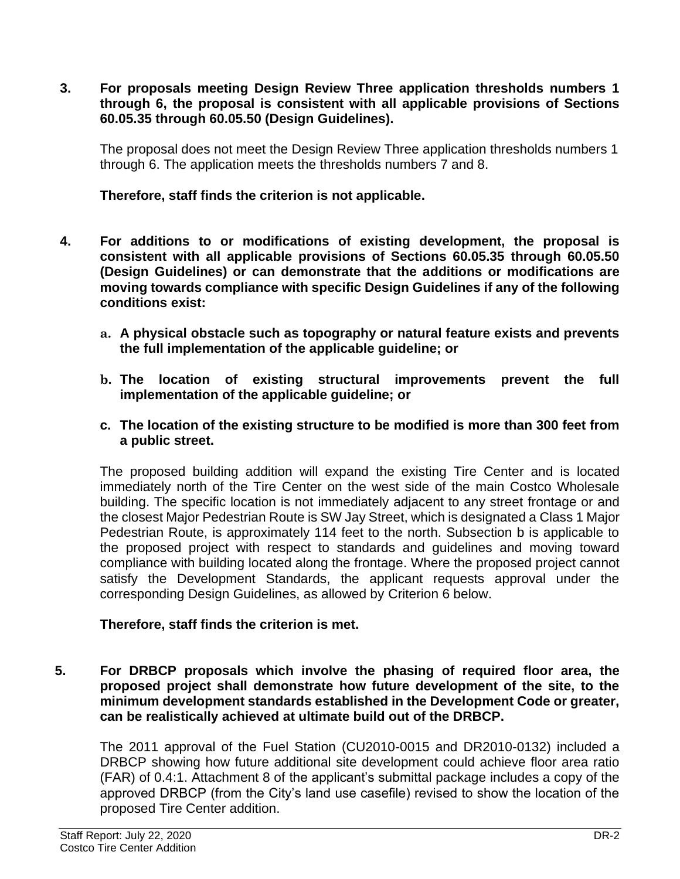**3. For proposals meeting Design Review Three application thresholds numbers 1 through 6, the proposal is consistent with all applicable provisions of Sections 60.05.35 through 60.05.50 (Design Guidelines).**

The proposal does not meet the Design Review Three application thresholds numbers 1 through 6. The application meets the thresholds numbers 7 and 8.

**Therefore, staff finds the criterion is not applicable.** 

- **4. For additions to or modifications of existing development, the proposal is consistent with all applicable provisions of Sections 60.05.35 through 60.05.50 (Design Guidelines) or can demonstrate that the additions or modifications are moving towards compliance with specific Design Guidelines if any of the following conditions exist:**
	- **a. A physical obstacle such as topography or natural feature exists and prevents the full implementation of the applicable guideline; or**
	- **b. The location of existing structural improvements prevent the full implementation of the applicable guideline; or**
	- **c. The location of the existing structure to be modified is more than 300 feet from a public street.**

The proposed building addition will expand the existing Tire Center and is located immediately north of the Tire Center on the west side of the main Costco Wholesale building. The specific location is not immediately adjacent to any street frontage or and the closest Major Pedestrian Route is SW Jay Street, which is designated a Class 1 Major Pedestrian Route, is approximately 114 feet to the north. Subsection b is applicable to the proposed project with respect to standards and guidelines and moving toward compliance with building located along the frontage. Where the proposed project cannot satisfy the Development Standards, the applicant requests approval under the corresponding Design Guidelines, as allowed by Criterion 6 below.

#### **Therefore, staff finds the criterion is met.**

**5. For DRBCP proposals which involve the phasing of required floor area, the proposed project shall demonstrate how future development of the site, to the minimum development standards established in the Development Code or greater, can be realistically achieved at ultimate build out of the DRBCP.**

The 2011 approval of the Fuel Station (CU2010-0015 and DR2010-0132) included a DRBCP showing how future additional site development could achieve floor area ratio (FAR) of 0.4:1. Attachment 8 of the applicant's submittal package includes a copy of the approved DRBCP (from the City's land use casefile) revised to show the location of the proposed Tire Center addition.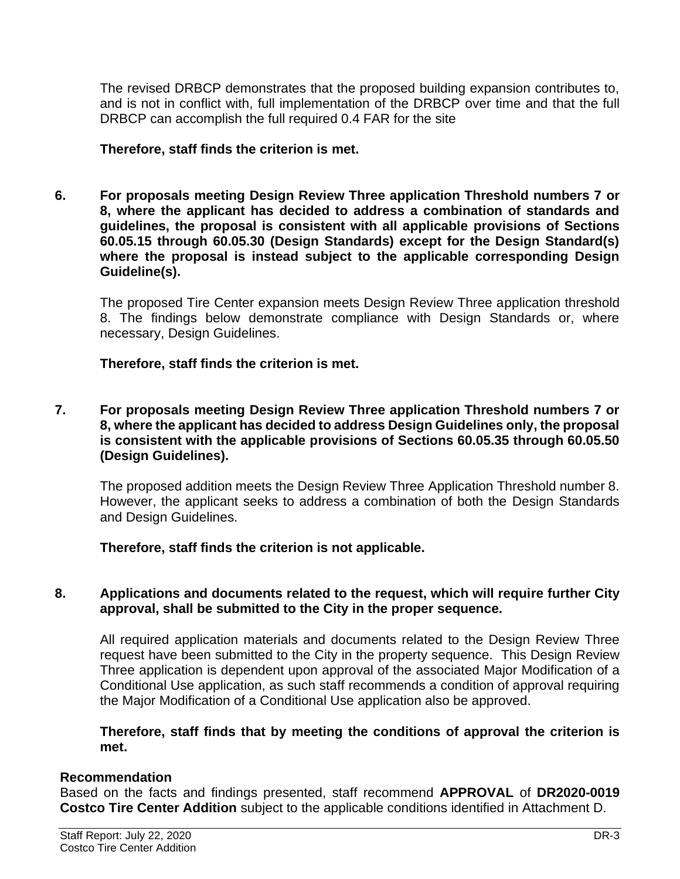The revised DRBCP demonstrates that the proposed building expansion contributes to, and is not in conflict with, full implementation of the DRBCP over time and that the full DRBCP can accomplish the full required 0.4 FAR for the site

#### **Therefore, staff finds the criterion is met.**

**6. For proposals meeting Design Review Three application Threshold numbers 7 or 8, where the applicant has decided to address a combination of standards and guidelines, the proposal is consistent with all applicable provisions of Sections 60.05.15 through 60.05.30 (Design Standards) except for the Design Standard(s) where the proposal is instead subject to the applicable corresponding Design Guideline(s).**

The proposed Tire Center expansion meets Design Review Three application threshold 8. The findings below demonstrate compliance with Design Standards or, where necessary, Design Guidelines.

#### **Therefore, staff finds the criterion is met.**

**7. For proposals meeting Design Review Three application Threshold numbers 7 or 8, where the applicant has decided to address Design Guidelines only, the proposal is consistent with the applicable provisions of Sections 60.05.35 through 60.05.50 (Design Guidelines).**

The proposed addition meets the Design Review Three Application Threshold number 8. However, the applicant seeks to address a combination of both the Design Standards and Design Guidelines.

#### **Therefore, staff finds the criterion is not applicable.**

#### **8. Applications and documents related to the request, which will require further City approval, shall be submitted to the City in the proper sequence.**

All required application materials and documents related to the Design Review Three request have been submitted to the City in the property sequence. This Design Review Three application is dependent upon approval of the associated Major Modification of a Conditional Use application, as such staff recommends a condition of approval requiring the Major Modification of a Conditional Use application also be approved.

#### **Therefore, staff finds that by meeting the conditions of approval the criterion is met.**

#### **Recommendation**

Based on the facts and findings presented, staff recommend **APPROVAL** of **DR2020-0019 Costco Tire Center Addition** subject to the applicable conditions identified in Attachment D.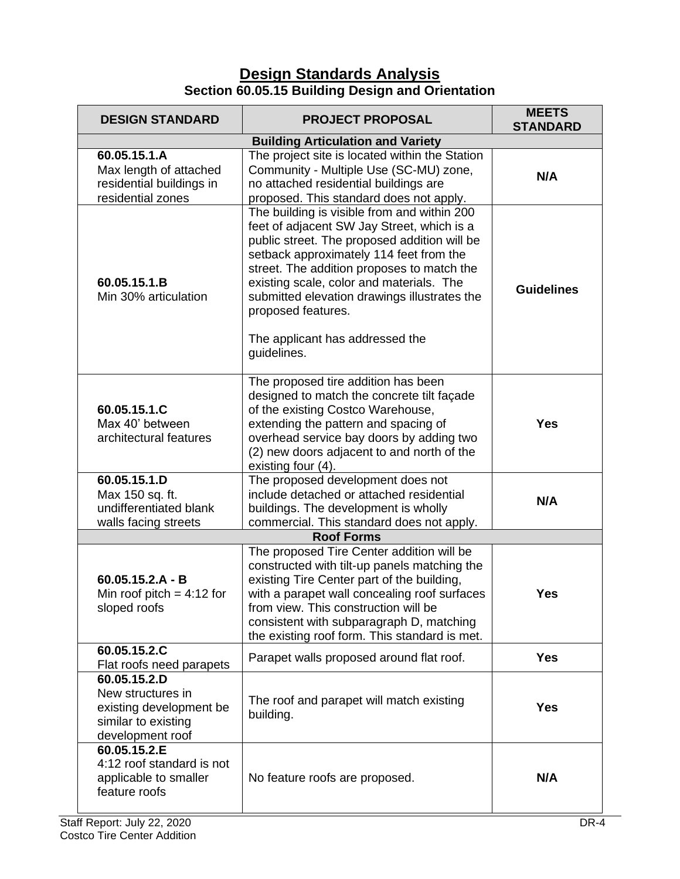## **Design Standards Analysis Section 60.05.15 Building Design and Orientation**

| <b>DESIGN STANDARD</b>                                                                                  | <b>PROJECT PROPOSAL</b>                                                                                                                                                                                                                                                                                                                                                                                | <b>MEETS</b><br><b>STANDARD</b> |
|---------------------------------------------------------------------------------------------------------|--------------------------------------------------------------------------------------------------------------------------------------------------------------------------------------------------------------------------------------------------------------------------------------------------------------------------------------------------------------------------------------------------------|---------------------------------|
| <b>Building Articulation and Variety</b>                                                                |                                                                                                                                                                                                                                                                                                                                                                                                        |                                 |
| 60.05.15.1.A<br>Max length of attached<br>residential buildings in<br>residential zones                 | The project site is located within the Station<br>Community - Multiple Use (SC-MU) zone,<br>no attached residential buildings are<br>proposed. This standard does not apply.                                                                                                                                                                                                                           | N/A                             |
| 60.05.15.1.B<br>Min 30% articulation                                                                    | The building is visible from and within 200<br>feet of adjacent SW Jay Street, which is a<br>public street. The proposed addition will be<br>setback approximately 114 feet from the<br>street. The addition proposes to match the<br>existing scale, color and materials. The<br>submitted elevation drawings illustrates the<br>proposed features.<br>The applicant has addressed the<br>guidelines. | <b>Guidelines</b>               |
| 60.05.15.1.C<br>Max 40' between<br>architectural features                                               | The proposed tire addition has been<br>designed to match the concrete tilt façade<br>of the existing Costco Warehouse,<br>extending the pattern and spacing of<br>overhead service bay doors by adding two<br>(2) new doors adjacent to and north of the<br>existing four (4).                                                                                                                         | <b>Yes</b>                      |
| 60.05.15.1.D<br>Max 150 sq. ft.<br>undifferentiated blank<br>walls facing streets                       | The proposed development does not<br>include detached or attached residential<br>buildings. The development is wholly<br>commercial. This standard does not apply.                                                                                                                                                                                                                                     | N/A                             |
| <b>Roof Forms</b>                                                                                       |                                                                                                                                                                                                                                                                                                                                                                                                        |                                 |
| $60.05.15.2.A - B$<br>Min roof pitch = $4:12$ for<br>sloped roofs                                       | The proposed Tire Center addition will be<br>constructed with tilt-up panels matching the<br>existing Tire Center part of the building,<br>with a parapet wall concealing roof surfaces<br>from view. This construction will be<br>consistent with subparagraph D, matching<br>the existing roof form. This standard is met.                                                                           | <b>Yes</b>                      |
| 60.05.15.2.C<br>Flat roofs need parapets                                                                | Parapet walls proposed around flat roof.                                                                                                                                                                                                                                                                                                                                                               | <b>Yes</b>                      |
| 60.05.15.2.D<br>New structures in<br>existing development be<br>similar to existing<br>development roof | The roof and parapet will match existing<br>building.                                                                                                                                                                                                                                                                                                                                                  | <b>Yes</b>                      |
| 60.05.15.2.E<br>4:12 roof standard is not<br>applicable to smaller<br>feature roofs                     | No feature roofs are proposed.                                                                                                                                                                                                                                                                                                                                                                         | N/A                             |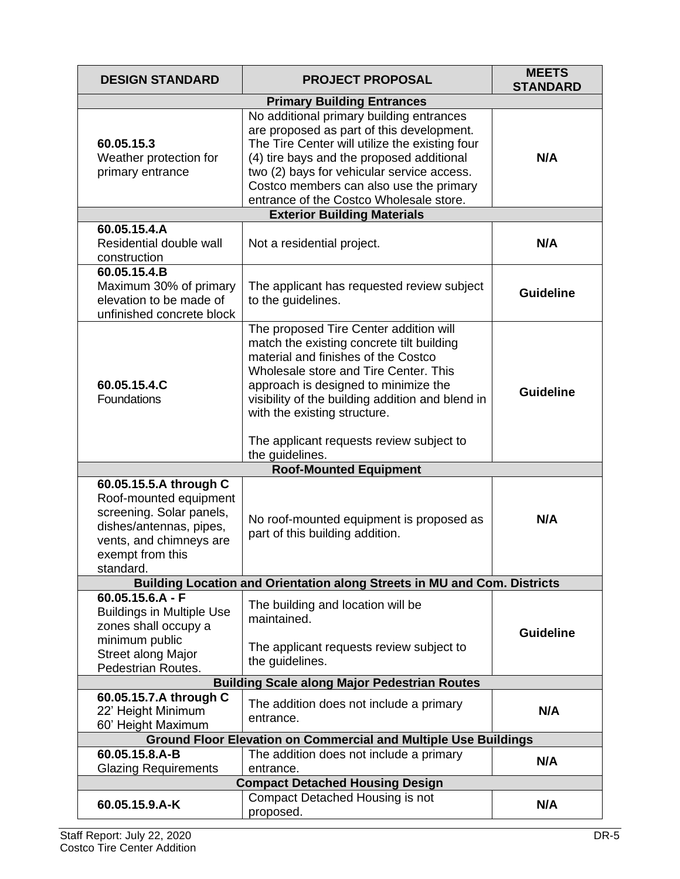| <b>DESIGN STANDARD</b>                                                                                                                                              | <b>PROJECT PROPOSAL</b>                                                                                                                                                                                                                                                                                                                                        | <b>MEETS</b><br><b>STANDARD</b> |  |  |
|---------------------------------------------------------------------------------------------------------------------------------------------------------------------|----------------------------------------------------------------------------------------------------------------------------------------------------------------------------------------------------------------------------------------------------------------------------------------------------------------------------------------------------------------|---------------------------------|--|--|
|                                                                                                                                                                     | <b>Primary Building Entrances</b>                                                                                                                                                                                                                                                                                                                              |                                 |  |  |
| 60.05.15.3<br>Weather protection for<br>primary entrance                                                                                                            | No additional primary building entrances<br>are proposed as part of this development.<br>The Tire Center will utilize the existing four<br>(4) tire bays and the proposed additional<br>two (2) bays for vehicular service access.<br>Costco members can also use the primary<br>entrance of the Costco Wholesale store.                                       | N/A                             |  |  |
|                                                                                                                                                                     | <b>Exterior Building Materials</b>                                                                                                                                                                                                                                                                                                                             |                                 |  |  |
| 60.05.15.4.A<br>Residential double wall<br>construction                                                                                                             | Not a residential project.                                                                                                                                                                                                                                                                                                                                     | N/A                             |  |  |
| 60.05.15.4.B<br>Maximum 30% of primary<br>elevation to be made of<br>unfinished concrete block                                                                      | The applicant has requested review subject<br>to the guidelines.                                                                                                                                                                                                                                                                                               | <b>Guideline</b>                |  |  |
| 60.05.15.4.C<br>Foundations                                                                                                                                         | The proposed Tire Center addition will<br>match the existing concrete tilt building<br>material and finishes of the Costco<br>Wholesale store and Tire Center. This<br>approach is designed to minimize the<br>visibility of the building addition and blend in<br>with the existing structure.<br>The applicant requests review subject to<br>the guidelines. | <b>Guideline</b>                |  |  |
| <b>Roof-Mounted Equipment</b>                                                                                                                                       |                                                                                                                                                                                                                                                                                                                                                                |                                 |  |  |
| 60.05.15.5.A through C<br>Roof-mounted equipment<br>screening. Solar panels,<br>dishes/antennas, pipes,<br>vents, and chimneys are<br>exempt from this<br>standard. | No roof-mounted equipment is proposed as<br>part of this building addition.                                                                                                                                                                                                                                                                                    | N/A                             |  |  |
|                                                                                                                                                                     | Building Location and Orientation along Streets in MU and Com. Districts                                                                                                                                                                                                                                                                                       |                                 |  |  |
| $60.05.15.6.A - F$<br><b>Buildings in Multiple Use</b><br>zones shall occupy a<br>minimum public<br><b>Street along Major</b><br>Pedestrian Routes.                 | The building and location will be<br>maintained.<br>The applicant requests review subject to<br>the guidelines.                                                                                                                                                                                                                                                | <b>Guideline</b>                |  |  |
| <b>Building Scale along Major Pedestrian Routes</b>                                                                                                                 |                                                                                                                                                                                                                                                                                                                                                                |                                 |  |  |
| 60.05.15.7.A through C<br>22' Height Minimum<br>60' Height Maximum                                                                                                  | The addition does not include a primary<br>entrance.                                                                                                                                                                                                                                                                                                           | N/A                             |  |  |
| <b>Ground Floor Elevation on Commercial and Multiple Use Buildings</b>                                                                                              |                                                                                                                                                                                                                                                                                                                                                                |                                 |  |  |
| 60.05.15.8.A-B                                                                                                                                                      | The addition does not include a primary                                                                                                                                                                                                                                                                                                                        | N/A                             |  |  |
| <b>Glazing Requirements</b><br>entrance.<br><b>Compact Detached Housing Design</b>                                                                                  |                                                                                                                                                                                                                                                                                                                                                                |                                 |  |  |
| 60.05.15.9.A-K                                                                                                                                                      | Compact Detached Housing is not<br>proposed.                                                                                                                                                                                                                                                                                                                   | N/A                             |  |  |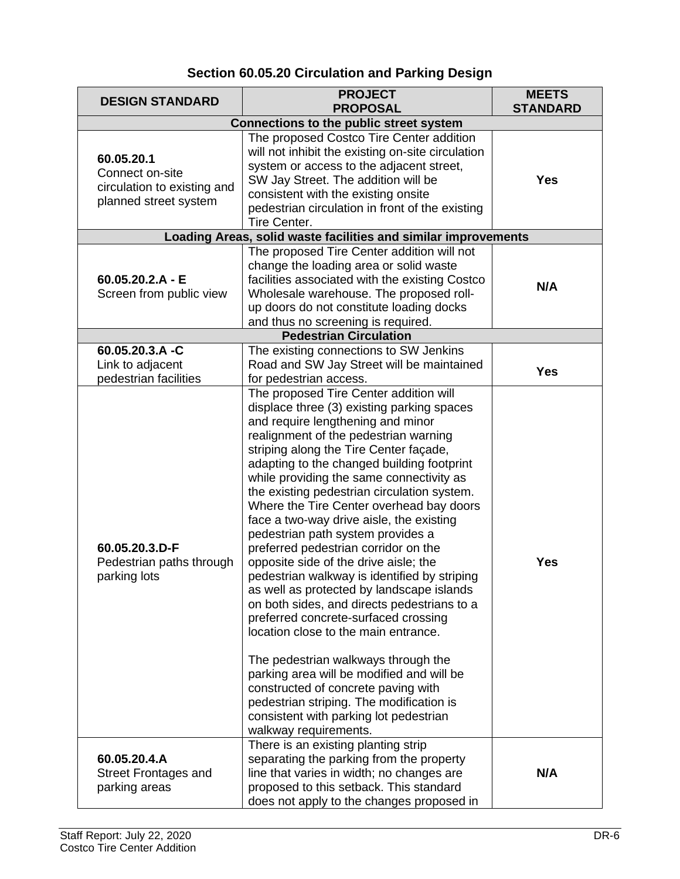## **Section 60.05.20 Circulation and Parking Design**

| <b>DESIGN STANDARD</b>                                                                | <b>PROJECT</b><br><b>PROPOSAL</b>                                                                                                                                                                                                                                                                                                                                                                                                                                                                                                                                                                                                                                                                                                                                                                                                                                                                                                                                                                                                         | <b>MEETS</b><br><b>STANDARD</b> |  |  |
|---------------------------------------------------------------------------------------|-------------------------------------------------------------------------------------------------------------------------------------------------------------------------------------------------------------------------------------------------------------------------------------------------------------------------------------------------------------------------------------------------------------------------------------------------------------------------------------------------------------------------------------------------------------------------------------------------------------------------------------------------------------------------------------------------------------------------------------------------------------------------------------------------------------------------------------------------------------------------------------------------------------------------------------------------------------------------------------------------------------------------------------------|---------------------------------|--|--|
|                                                                                       | <b>Connections to the public street system</b>                                                                                                                                                                                                                                                                                                                                                                                                                                                                                                                                                                                                                                                                                                                                                                                                                                                                                                                                                                                            |                                 |  |  |
| 60.05.20.1<br>Connect on-site<br>circulation to existing and<br>planned street system | The proposed Costco Tire Center addition<br>will not inhibit the existing on-site circulation<br>system or access to the adjacent street,<br>SW Jay Street. The addition will be<br>consistent with the existing onsite<br>pedestrian circulation in front of the existing<br>Tire Center.                                                                                                                                                                                                                                                                                                                                                                                                                                                                                                                                                                                                                                                                                                                                                | <b>Yes</b>                      |  |  |
|                                                                                       | Loading Areas, solid waste facilities and similar improvements                                                                                                                                                                                                                                                                                                                                                                                                                                                                                                                                                                                                                                                                                                                                                                                                                                                                                                                                                                            |                                 |  |  |
| $60.05.20.2.A - E$<br>Screen from public view                                         | The proposed Tire Center addition will not<br>change the loading area or solid waste<br>facilities associated with the existing Costco<br>Wholesale warehouse. The proposed roll-<br>up doors do not constitute loading docks<br>and thus no screening is required.                                                                                                                                                                                                                                                                                                                                                                                                                                                                                                                                                                                                                                                                                                                                                                       | N/A                             |  |  |
|                                                                                       | <b>Pedestrian Circulation</b>                                                                                                                                                                                                                                                                                                                                                                                                                                                                                                                                                                                                                                                                                                                                                                                                                                                                                                                                                                                                             |                                 |  |  |
| 60.05.20.3.A -C<br>Link to adjacent<br>pedestrian facilities                          | The existing connections to SW Jenkins<br>Road and SW Jay Street will be maintained<br>for pedestrian access.                                                                                                                                                                                                                                                                                                                                                                                                                                                                                                                                                                                                                                                                                                                                                                                                                                                                                                                             | <b>Yes</b>                      |  |  |
| 60.05.20.3.D-F<br>Pedestrian paths through<br>parking lots                            | The proposed Tire Center addition will<br>displace three (3) existing parking spaces<br>and require lengthening and minor<br>realignment of the pedestrian warning<br>striping along the Tire Center façade,<br>adapting to the changed building footprint<br>while providing the same connectivity as<br>the existing pedestrian circulation system.<br>Where the Tire Center overhead bay doors<br>face a two-way drive aisle, the existing<br>pedestrian path system provides a<br>preferred pedestrian corridor on the<br>opposite side of the drive aisle; the<br>pedestrian walkway is identified by striping<br>as well as protected by landscape islands<br>on both sides, and directs pedestrians to a<br>preferred concrete-surfaced crossing<br>location close to the main entrance.<br>The pedestrian walkways through the<br>parking area will be modified and will be<br>constructed of concrete paving with<br>pedestrian striping. The modification is<br>consistent with parking lot pedestrian<br>walkway requirements. | <b>Yes</b>                      |  |  |
| 60.05.20.4.A<br><b>Street Frontages and</b><br>parking areas                          | There is an existing planting strip<br>separating the parking from the property<br>line that varies in width; no changes are<br>proposed to this setback. This standard<br>does not apply to the changes proposed in                                                                                                                                                                                                                                                                                                                                                                                                                                                                                                                                                                                                                                                                                                                                                                                                                      | N/A                             |  |  |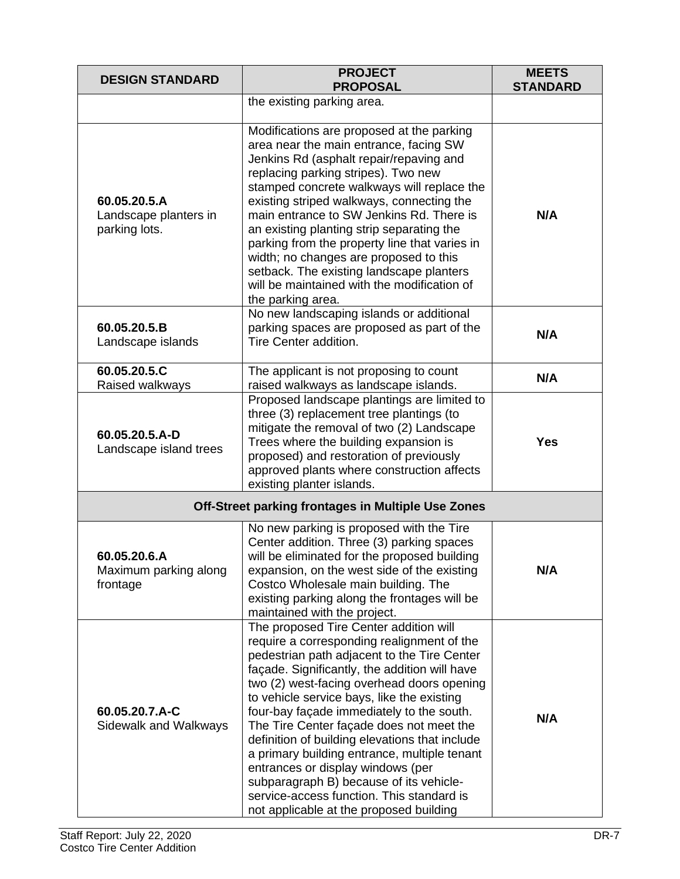| <b>DESIGN STANDARD</b>                                 | <b>PROJECT</b><br><b>PROPOSAL</b>                                                                                                                                                                                                                                                                                                                                                                                                                                                                                                                                                                                                                   | <b>MEETS</b><br><b>STANDARD</b> |
|--------------------------------------------------------|-----------------------------------------------------------------------------------------------------------------------------------------------------------------------------------------------------------------------------------------------------------------------------------------------------------------------------------------------------------------------------------------------------------------------------------------------------------------------------------------------------------------------------------------------------------------------------------------------------------------------------------------------------|---------------------------------|
|                                                        | the existing parking area.                                                                                                                                                                                                                                                                                                                                                                                                                                                                                                                                                                                                                          |                                 |
| 60.05.20.5.A<br>Landscape planters in<br>parking lots. | Modifications are proposed at the parking<br>area near the main entrance, facing SW<br>Jenkins Rd (asphalt repair/repaving and<br>replacing parking stripes). Two new<br>stamped concrete walkways will replace the<br>existing striped walkways, connecting the<br>main entrance to SW Jenkins Rd. There is<br>an existing planting strip separating the<br>parking from the property line that varies in<br>width; no changes are proposed to this<br>setback. The existing landscape planters<br>will be maintained with the modification of<br>the parking area.                                                                                | N/A                             |
| 60.05.20.5.B<br>Landscape islands                      | No new landscaping islands or additional<br>parking spaces are proposed as part of the<br>Tire Center addition.                                                                                                                                                                                                                                                                                                                                                                                                                                                                                                                                     | N/A                             |
| 60.05.20.5.C<br>Raised walkways                        | The applicant is not proposing to count<br>raised walkways as landscape islands.                                                                                                                                                                                                                                                                                                                                                                                                                                                                                                                                                                    | N/A                             |
| 60.05.20.5.A-D<br>Landscape island trees               | Proposed landscape plantings are limited to<br>three (3) replacement tree plantings (to<br>mitigate the removal of two (2) Landscape<br>Trees where the building expansion is<br>proposed) and restoration of previously<br>approved plants where construction affects<br>existing planter islands.                                                                                                                                                                                                                                                                                                                                                 | <b>Yes</b>                      |
|                                                        | Off-Street parking frontages in Multiple Use Zones                                                                                                                                                                                                                                                                                                                                                                                                                                                                                                                                                                                                  |                                 |
| 60.05.20.6.A<br>Maximum parking along<br>frontage      | No new parking is proposed with the Tire<br>Center addition. Three (3) parking spaces<br>will be eliminated for the proposed building<br>expansion, on the west side of the existing<br>Costco Wholesale main building. The<br>existing parking along the frontages will be<br>maintained with the project.                                                                                                                                                                                                                                                                                                                                         | N/A                             |
| 60.05.20.7.A-C<br>Sidewalk and Walkways                | The proposed Tire Center addition will<br>require a corresponding realignment of the<br>pedestrian path adjacent to the Tire Center<br>façade. Significantly, the addition will have<br>two (2) west-facing overhead doors opening<br>to vehicle service bays, like the existing<br>four-bay façade immediately to the south.<br>The Tire Center façade does not meet the<br>definition of building elevations that include<br>a primary building entrance, multiple tenant<br>entrances or display windows (per<br>subparagraph B) because of its vehicle-<br>service-access function. This standard is<br>not applicable at the proposed building | N/A                             |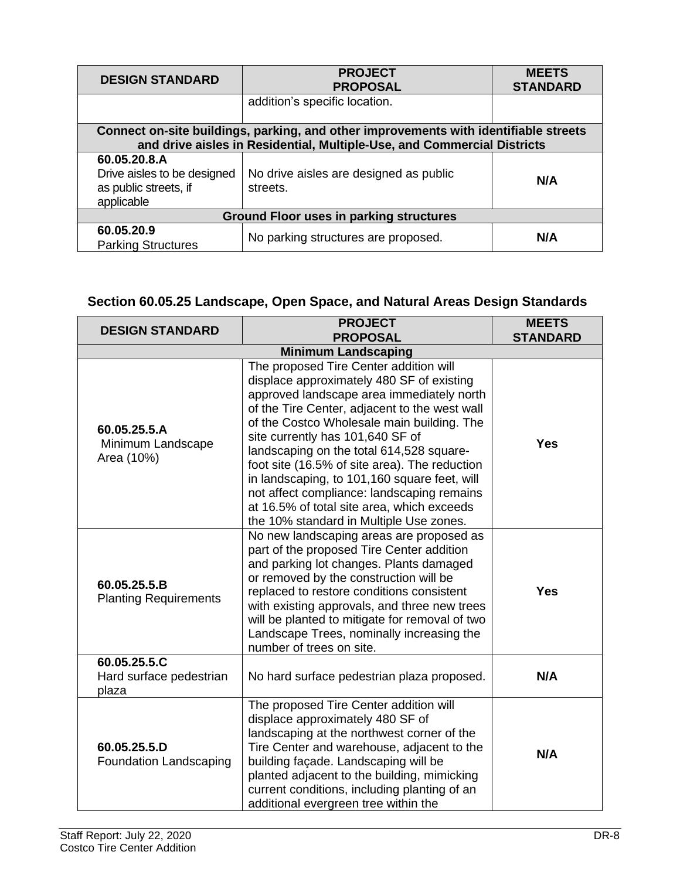| <b>DESIGN STANDARD</b>                                                                                                                                          | <b>PROJECT</b><br><b>PROPOSAL</b>                  | <b>MEETS</b><br><b>STANDARD</b> |  |  |
|-----------------------------------------------------------------------------------------------------------------------------------------------------------------|----------------------------------------------------|---------------------------------|--|--|
|                                                                                                                                                                 | addition's specific location.                      |                                 |  |  |
| Connect on-site buildings, parking, and other improvements with identifiable streets<br>and drive aisles in Residential, Multiple-Use, and Commercial Districts |                                                    |                                 |  |  |
| 60.05.20.8.A<br>Drive aisles to be designed<br>as public streets, if<br>applicable                                                                              | No drive aisles are designed as public<br>streets. | N/A                             |  |  |
| <b>Ground Floor uses in parking structures</b>                                                                                                                  |                                                    |                                 |  |  |
| 60.05.20.9<br><b>Parking Structures</b>                                                                                                                         | No parking structures are proposed.                | N/A                             |  |  |

## **Section 60.05.25 Landscape, Open Space, and Natural Areas Design Standards**

| <b>DESIGN STANDARD</b>                           | <b>PROJECT</b><br><b>PROPOSAL</b>                                                                                                                                                                                                                                                                                                                                                                                                                                                                                                                       | <b>MEETS</b><br><b>STANDARD</b> |  |  |
|--------------------------------------------------|---------------------------------------------------------------------------------------------------------------------------------------------------------------------------------------------------------------------------------------------------------------------------------------------------------------------------------------------------------------------------------------------------------------------------------------------------------------------------------------------------------------------------------------------------------|---------------------------------|--|--|
| <b>Minimum Landscaping</b>                       |                                                                                                                                                                                                                                                                                                                                                                                                                                                                                                                                                         |                                 |  |  |
| 60.05.25.5.A<br>Minimum Landscape<br>Area (10%)  | The proposed Tire Center addition will<br>displace approximately 480 SF of existing<br>approved landscape area immediately north<br>of the Tire Center, adjacent to the west wall<br>of the Costco Wholesale main building. The<br>site currently has 101,640 SF of<br>landscaping on the total 614,528 square-<br>foot site (16.5% of site area). The reduction<br>in landscaping, to 101,160 square feet, will<br>not affect compliance: landscaping remains<br>at 16.5% of total site area, which exceeds<br>the 10% standard in Multiple Use zones. | <b>Yes</b>                      |  |  |
| 60.05.25.5.B<br><b>Planting Requirements</b>     | No new landscaping areas are proposed as<br>part of the proposed Tire Center addition<br>and parking lot changes. Plants damaged<br>or removed by the construction will be<br>replaced to restore conditions consistent<br>with existing approvals, and three new trees<br>will be planted to mitigate for removal of two<br>Landscape Trees, nominally increasing the<br>number of trees on site.                                                                                                                                                      | <b>Yes</b>                      |  |  |
| 60.05.25.5.C<br>Hard surface pedestrian<br>plaza | No hard surface pedestrian plaza proposed.                                                                                                                                                                                                                                                                                                                                                                                                                                                                                                              | N/A                             |  |  |
| 60.05.25.5.D<br>Foundation Landscaping           | The proposed Tire Center addition will<br>displace approximately 480 SF of<br>landscaping at the northwest corner of the<br>Tire Center and warehouse, adjacent to the<br>building façade. Landscaping will be<br>planted adjacent to the building, mimicking<br>current conditions, including planting of an<br>additional evergreen tree within the                                                                                                                                                                                                   | N/A                             |  |  |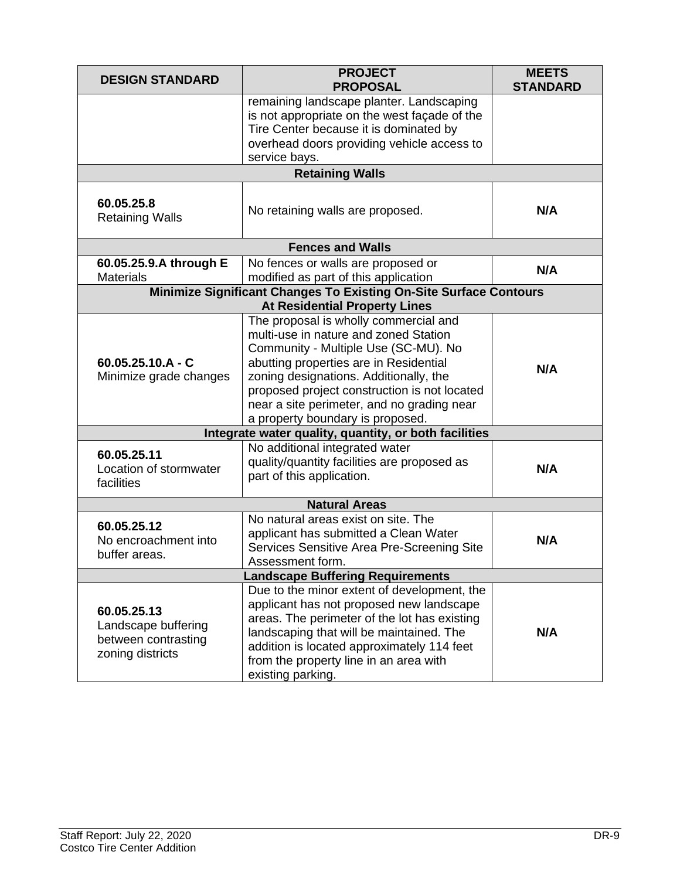| <b>DESIGN STANDARD</b>                                                        | <b>PROJECT</b><br><b>PROPOSAL</b>                                                                                                                                                                                                                                                                                                                                                                     | <b>MEETS</b><br><b>STANDARD</b> |  |  |  |
|-------------------------------------------------------------------------------|-------------------------------------------------------------------------------------------------------------------------------------------------------------------------------------------------------------------------------------------------------------------------------------------------------------------------------------------------------------------------------------------------------|---------------------------------|--|--|--|
|                                                                               | remaining landscape planter. Landscaping<br>is not appropriate on the west façade of the<br>Tire Center because it is dominated by<br>overhead doors providing vehicle access to<br>service bays.                                                                                                                                                                                                     |                                 |  |  |  |
|                                                                               | <b>Retaining Walls</b>                                                                                                                                                                                                                                                                                                                                                                                |                                 |  |  |  |
| 60.05.25.8<br><b>Retaining Walls</b>                                          | No retaining walls are proposed.                                                                                                                                                                                                                                                                                                                                                                      | N/A                             |  |  |  |
|                                                                               | <b>Fences and Walls</b>                                                                                                                                                                                                                                                                                                                                                                               |                                 |  |  |  |
| 60.05.25.9.A through E                                                        | No fences or walls are proposed or                                                                                                                                                                                                                                                                                                                                                                    | N/A                             |  |  |  |
| <b>Materials</b>                                                              | modified as part of this application<br><b>Minimize Significant Changes To Existing On-Site Surface Contours</b>                                                                                                                                                                                                                                                                                      |                                 |  |  |  |
|                                                                               | <b>At Residential Property Lines</b>                                                                                                                                                                                                                                                                                                                                                                  |                                 |  |  |  |
| $60.05.25.10.A - C$<br>Minimize grade changes                                 | The proposal is wholly commercial and<br>multi-use in nature and zoned Station<br>Community - Multiple Use (SC-MU). No<br>abutting properties are in Residential<br>zoning designations. Additionally, the<br>proposed project construction is not located<br>near a site perimeter, and no grading near<br>a property boundary is proposed.<br>Integrate water quality, quantity, or both facilities | N/A                             |  |  |  |
|                                                                               | No additional integrated water                                                                                                                                                                                                                                                                                                                                                                        |                                 |  |  |  |
| 60.05.25.11<br>Location of stormwater<br>facilities                           | quality/quantity facilities are proposed as<br>part of this application.                                                                                                                                                                                                                                                                                                                              | N/A                             |  |  |  |
|                                                                               | <b>Natural Areas</b>                                                                                                                                                                                                                                                                                                                                                                                  |                                 |  |  |  |
| 60.05.25.12<br>No encroachment into<br>buffer areas.                          | No natural areas exist on site. The<br>applicant has submitted a Clean Water<br>Services Sensitive Area Pre-Screening Site<br>Assessment form.                                                                                                                                                                                                                                                        | N/A                             |  |  |  |
| <b>Landscape Buffering Requirements</b>                                       |                                                                                                                                                                                                                                                                                                                                                                                                       |                                 |  |  |  |
| 60.05.25.13<br>Landscape buffering<br>between contrasting<br>zoning districts | Due to the minor extent of development, the<br>applicant has not proposed new landscape<br>areas. The perimeter of the lot has existing<br>landscaping that will be maintained. The<br>addition is located approximately 114 feet<br>from the property line in an area with<br>existing parking.                                                                                                      | N/A                             |  |  |  |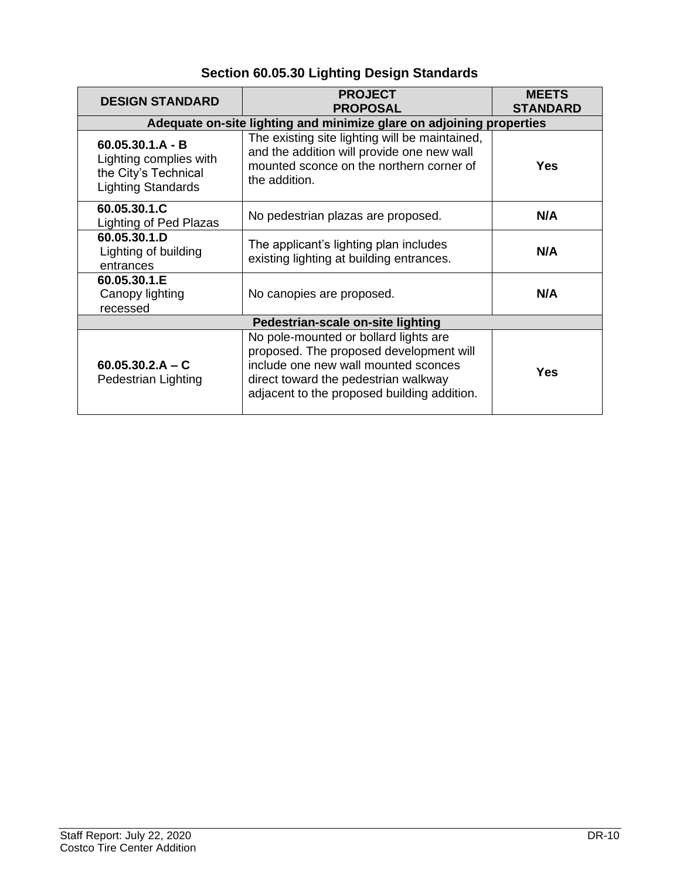## **Section 60.05.30 Lighting Design Standards**

| <b>DESIGN STANDARD</b>                                                                            | <b>PROJECT</b><br><b>PROPOSAL</b>                                                                                                                                                                               | <b>MEETS</b><br><b>STANDARD</b> |  |  |
|---------------------------------------------------------------------------------------------------|-----------------------------------------------------------------------------------------------------------------------------------------------------------------------------------------------------------------|---------------------------------|--|--|
| Adequate on-site lighting and minimize glare on adjoining properties                              |                                                                                                                                                                                                                 |                                 |  |  |
| $60.05.30.1.A - B$<br>Lighting complies with<br>the City's Technical<br><b>Lighting Standards</b> | The existing site lighting will be maintained,<br>and the addition will provide one new wall<br>mounted sconce on the northern corner of<br>the addition.                                                       | <b>Yes</b>                      |  |  |
| 60.05.30.1.C<br>Lighting of Ped Plazas                                                            | No pedestrian plazas are proposed.                                                                                                                                                                              | N/A                             |  |  |
| 60.05.30.1.D<br>Lighting of building<br>entrances                                                 | The applicant's lighting plan includes<br>existing lighting at building entrances.                                                                                                                              | N/A                             |  |  |
| 60.05.30.1.E<br>Canopy lighting<br>recessed                                                       | No canopies are proposed.                                                                                                                                                                                       | N/A                             |  |  |
| Pedestrian-scale on-site lighting                                                                 |                                                                                                                                                                                                                 |                                 |  |  |
| $60.05.30.2.A - C$<br>Pedestrian Lighting                                                         | No pole-mounted or bollard lights are<br>proposed. The proposed development will<br>include one new wall mounted sconces<br>direct toward the pedestrian walkway<br>adjacent to the proposed building addition. | Yes                             |  |  |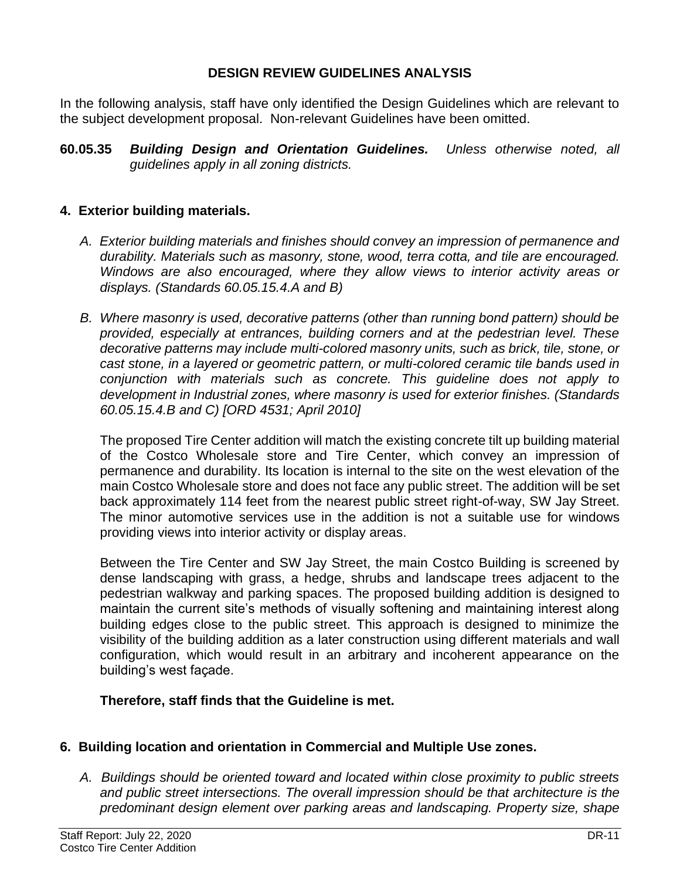#### **DESIGN REVIEW GUIDELINES ANALYSIS**

In the following analysis, staff have only identified the Design Guidelines which are relevant to the subject development proposal. Non-relevant Guidelines have been omitted.

**60.05.35** *Building Design and Orientation Guidelines. Unless otherwise noted, all guidelines apply in all zoning districts.*

#### **4. Exterior building materials.**

- *A. Exterior building materials and finishes should convey an impression of permanence and durability. Materials such as masonry, stone, wood, terra cotta, and tile are encouraged. Windows are also encouraged, where they allow views to interior activity areas or displays. (Standards 60.05.15.4.A and B)*
- *B. Where masonry is used, decorative patterns (other than running bond pattern) should be provided, especially at entrances, building corners and at the pedestrian level. These decorative patterns may include multi-colored masonry units, such as brick, tile, stone, or cast stone, in a layered or geometric pattern, or multi-colored ceramic tile bands used in conjunction with materials such as concrete. This guideline does not apply to development in Industrial zones, where masonry is used for exterior finishes. (Standards 60.05.15.4.B and C) [ORD 4531; April 2010]*

The proposed Tire Center addition will match the existing concrete tilt up building material of the Costco Wholesale store and Tire Center, which convey an impression of permanence and durability. Its location is internal to the site on the west elevation of the main Costco Wholesale store and does not face any public street. The addition will be set back approximately 114 feet from the nearest public street right-of-way, SW Jay Street. The minor automotive services use in the addition is not a suitable use for windows providing views into interior activity or display areas.

Between the Tire Center and SW Jay Street, the main Costco Building is screened by dense landscaping with grass, a hedge, shrubs and landscape trees adjacent to the pedestrian walkway and parking spaces. The proposed building addition is designed to maintain the current site's methods of visually softening and maintaining interest along building edges close to the public street. This approach is designed to minimize the visibility of the building addition as a later construction using different materials and wall configuration, which would result in an arbitrary and incoherent appearance on the building's west façade.

#### **Therefore, staff finds that the Guideline is met.**

#### **6. Building location and orientation in Commercial and Multiple Use zones.**

*A. Buildings should be oriented toward and located within close proximity to public streets and public street intersections. The overall impression should be that architecture is the predominant design element over parking areas and landscaping. Property size, shape*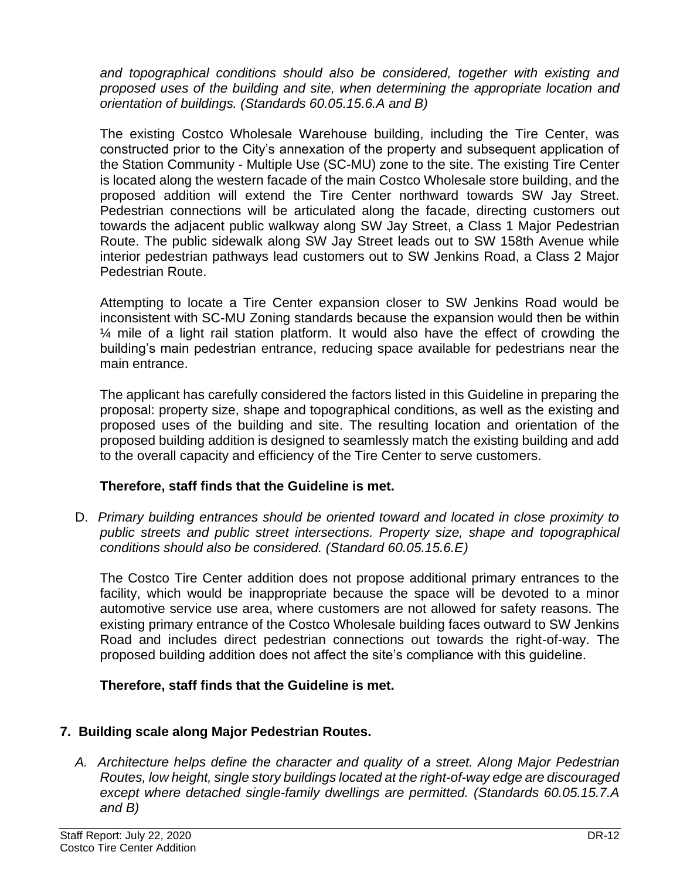*and topographical conditions should also be considered, together with existing and proposed uses of the building and site, when determining the appropriate location and orientation of buildings. (Standards 60.05.15.6.A and B)* 

The existing Costco Wholesale Warehouse building, including the Tire Center, was constructed prior to the City's annexation of the property and subsequent application of the Station Community - Multiple Use (SC-MU) zone to the site. The existing Tire Center is located along the western facade of the main Costco Wholesale store building, and the proposed addition will extend the Tire Center northward towards SW Jay Street. Pedestrian connections will be articulated along the facade, directing customers out towards the adjacent public walkway along SW Jay Street, a Class 1 Major Pedestrian Route. The public sidewalk along SW Jay Street leads out to SW 158th Avenue while interior pedestrian pathways lead customers out to SW Jenkins Road, a Class 2 Major Pedestrian Route.

Attempting to locate a Tire Center expansion closer to SW Jenkins Road would be inconsistent with SC-MU Zoning standards because the expansion would then be within ¼ mile of a light rail station platform. It would also have the effect of crowding the building's main pedestrian entrance, reducing space available for pedestrians near the main entrance.

The applicant has carefully considered the factors listed in this Guideline in preparing the proposal: property size, shape and topographical conditions, as well as the existing and proposed uses of the building and site. The resulting location and orientation of the proposed building addition is designed to seamlessly match the existing building and add to the overall capacity and efficiency of the Tire Center to serve customers.

#### **Therefore, staff finds that the Guideline is met.**

D. *Primary building entrances should be oriented toward and located in close proximity to public streets and public street intersections. Property size, shape and topographical conditions should also be considered. (Standard 60.05.15.6.E)* 

The Costco Tire Center addition does not propose additional primary entrances to the facility, which would be inappropriate because the space will be devoted to a minor automotive service use area, where customers are not allowed for safety reasons. The existing primary entrance of the Costco Wholesale building faces outward to SW Jenkins Road and includes direct pedestrian connections out towards the right-of-way. The proposed building addition does not affect the site's compliance with this guideline.

## **Therefore, staff finds that the Guideline is met.**

## **7. Building scale along Major Pedestrian Routes.**

*A. Architecture helps define the character and quality of a street. Along Major Pedestrian Routes, low height, single story buildings located at the right-of-way edge are discouraged except where detached single-family dwellings are permitted. (Standards 60.05.15.7.A and B)*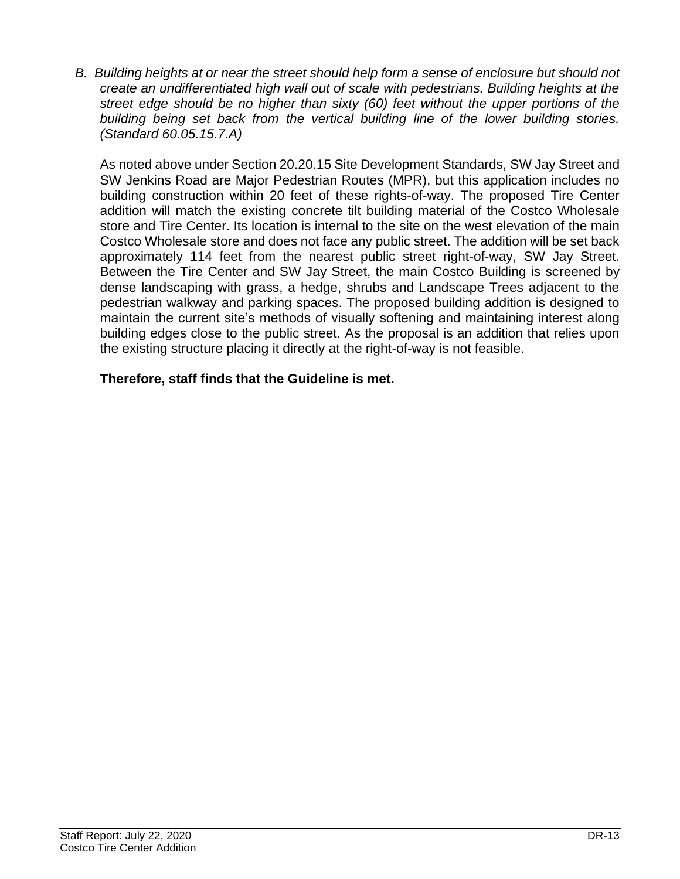*B. Building heights at or near the street should help form a sense of enclosure but should not create an undifferentiated high wall out of scale with pedestrians. Building heights at the street edge should be no higher than sixty (60) feet without the upper portions of the building being set back from the vertical building line of the lower building stories. (Standard 60.05.15.7.A)* 

As noted above under Section 20.20.15 Site Development Standards, SW Jay Street and SW Jenkins Road are Major Pedestrian Routes (MPR), but this application includes no building construction within 20 feet of these rights-of-way. The proposed Tire Center addition will match the existing concrete tilt building material of the Costco Wholesale store and Tire Center. Its location is internal to the site on the west elevation of the main Costco Wholesale store and does not face any public street. The addition will be set back approximately 114 feet from the nearest public street right-of-way, SW Jay Street. Between the Tire Center and SW Jay Street, the main Costco Building is screened by dense landscaping with grass, a hedge, shrubs and Landscape Trees adjacent to the pedestrian walkway and parking spaces. The proposed building addition is designed to maintain the current site's methods of visually softening and maintaining interest along building edges close to the public street. As the proposal is an addition that relies upon the existing structure placing it directly at the right-of-way is not feasible.

#### **Therefore, staff finds that the Guideline is met.**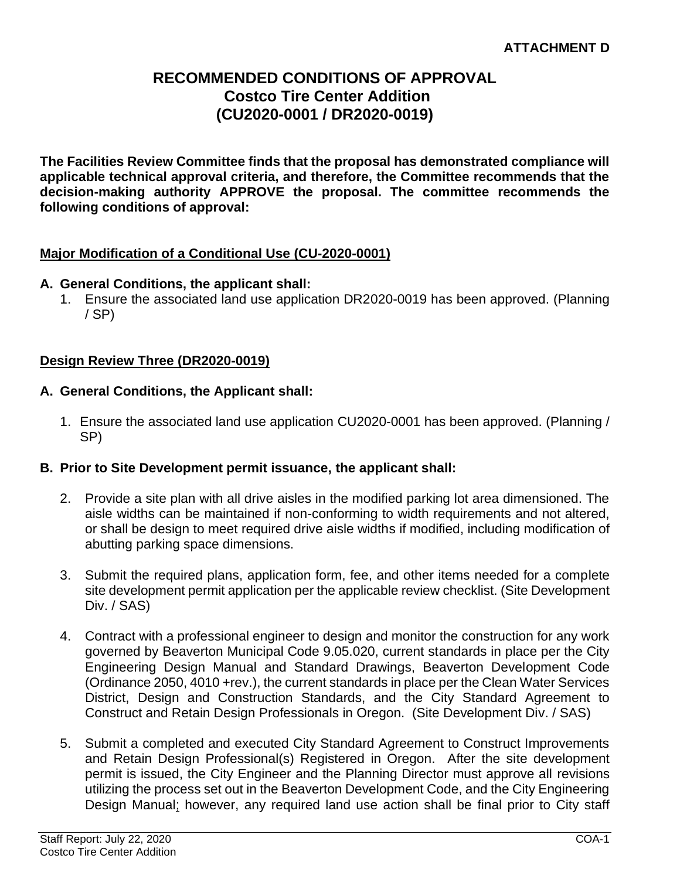## **RECOMMENDED CONDITIONS OF APPROVAL Costco Tire Center Addition (CU2020-0001 / DR2020-0019)**

**The Facilities Review Committee finds that the proposal has demonstrated compliance will applicable technical approval criteria, and therefore, the Committee recommends that the decision-making authority APPROVE the proposal. The committee recommends the following conditions of approval:** 

#### **Major Modification of a Conditional Use (CU-2020-0001)**

#### **A. General Conditions, the applicant shall:**

1. Ensure the associated land use application DR2020-0019 has been approved. (Planning / SP)

#### **Design Review Three (DR2020-0019)**

- **A. General Conditions, the Applicant shall:**
	- 1. Ensure the associated land use application CU2020-0001 has been approved. (Planning / SP)

#### **B. Prior to Site Development permit issuance, the applicant shall:**

- 2. Provide a site plan with all drive aisles in the modified parking lot area dimensioned. The aisle widths can be maintained if non-conforming to width requirements and not altered, or shall be design to meet required drive aisle widths if modified, including modification of abutting parking space dimensions.
- 3. Submit the required plans, application form, fee, and other items needed for a complete site development permit application per the applicable review checklist. (Site Development Div. / SAS)
- 4. Contract with a professional engineer to design and monitor the construction for any work governed by Beaverton Municipal Code 9.05.020, current standards in place per the City Engineering Design Manual and Standard Drawings, Beaverton Development Code (Ordinance 2050, 4010 +rev.), the current standards in place per the Clean Water Services District, Design and Construction Standards, and the City Standard Agreement to Construct and Retain Design Professionals in Oregon. (Site Development Div. / SAS)
- 5. Submit a completed and executed City Standard Agreement to Construct Improvements and Retain Design Professional(s) Registered in Oregon. After the site development permit is issued, the City Engineer and the Planning Director must approve all revisions utilizing the process set out in the Beaverton Development Code, and the City Engineering Design Manual; however, any required land use action shall be final prior to City staff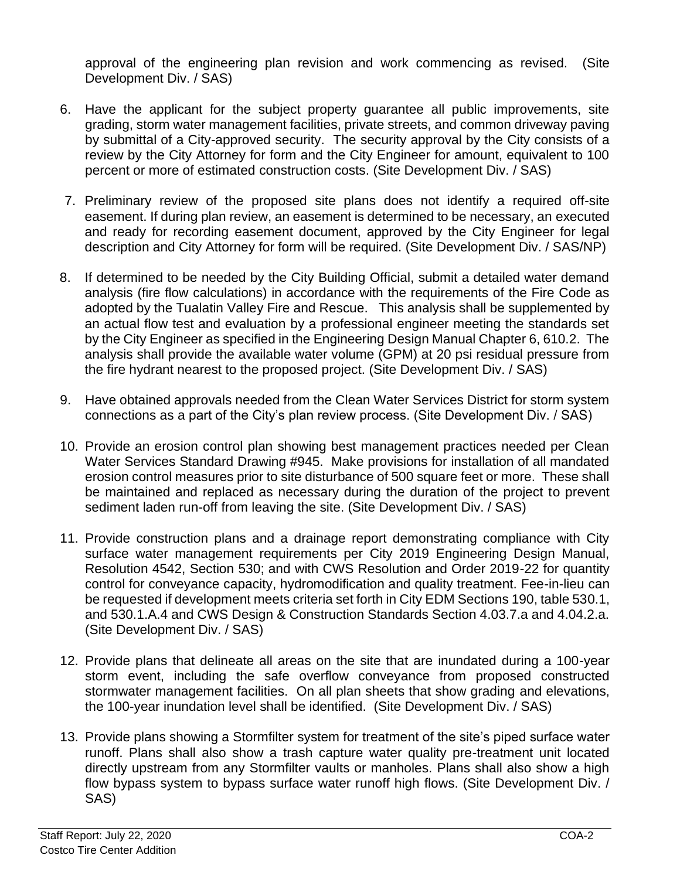approval of the engineering plan revision and work commencing as revised. (Site Development Div. / SAS)

- 6. Have the applicant for the subject property guarantee all public improvements, site grading, storm water management facilities, private streets, and common driveway paving by submittal of a City-approved security. The security approval by the City consists of a review by the City Attorney for form and the City Engineer for amount, equivalent to 100 percent or more of estimated construction costs. (Site Development Div. / SAS)
- 7. Preliminary review of the proposed site plans does not identify a required off-site easement. If during plan review, an easement is determined to be necessary, an executed and ready for recording easement document, approved by the City Engineer for legal description and City Attorney for form will be required. (Site Development Div. / SAS/NP)
- 8. If determined to be needed by the City Building Official, submit a detailed water demand analysis (fire flow calculations) in accordance with the requirements of the Fire Code as adopted by the Tualatin Valley Fire and Rescue. This analysis shall be supplemented by an actual flow test and evaluation by a professional engineer meeting the standards set by the City Engineer as specified in the Engineering Design Manual Chapter 6, 610.2. The analysis shall provide the available water volume (GPM) at 20 psi residual pressure from the fire hydrant nearest to the proposed project. (Site Development Div. / SAS)
- 9. Have obtained approvals needed from the Clean Water Services District for storm system connections as a part of the City's plan review process. (Site Development Div. / SAS)
- 10. Provide an erosion control plan showing best management practices needed per Clean Water Services Standard Drawing #945. Make provisions for installation of all mandated erosion control measures prior to site disturbance of 500 square feet or more. These shall be maintained and replaced as necessary during the duration of the project to prevent sediment laden run-off from leaving the site. (Site Development Div. / SAS)
- 11. Provide construction plans and a drainage report demonstrating compliance with City surface water management requirements per City 2019 Engineering Design Manual, Resolution 4542, Section 530; and with CWS Resolution and Order 2019-22 for quantity control for conveyance capacity, hydromodification and quality treatment. Fee-in-lieu can be requested if development meets criteria set forth in City EDM Sections 190, table 530.1, and 530.1.A.4 and CWS Design & Construction Standards Section 4.03.7.a and 4.04.2.a. (Site Development Div. / SAS)
- 12. Provide plans that delineate all areas on the site that are inundated during a 100-year storm event, including the safe overflow conveyance from proposed constructed stormwater management facilities. On all plan sheets that show grading and elevations, the 100-year inundation level shall be identified. (Site Development Div. / SAS)
- 13. Provide plans showing a Stormfilter system for treatment of the site's piped surface water runoff. Plans shall also show a trash capture water quality pre-treatment unit located directly upstream from any Stormfilter vaults or manholes. Plans shall also show a high flow bypass system to bypass surface water runoff high flows. (Site Development Div. / SAS)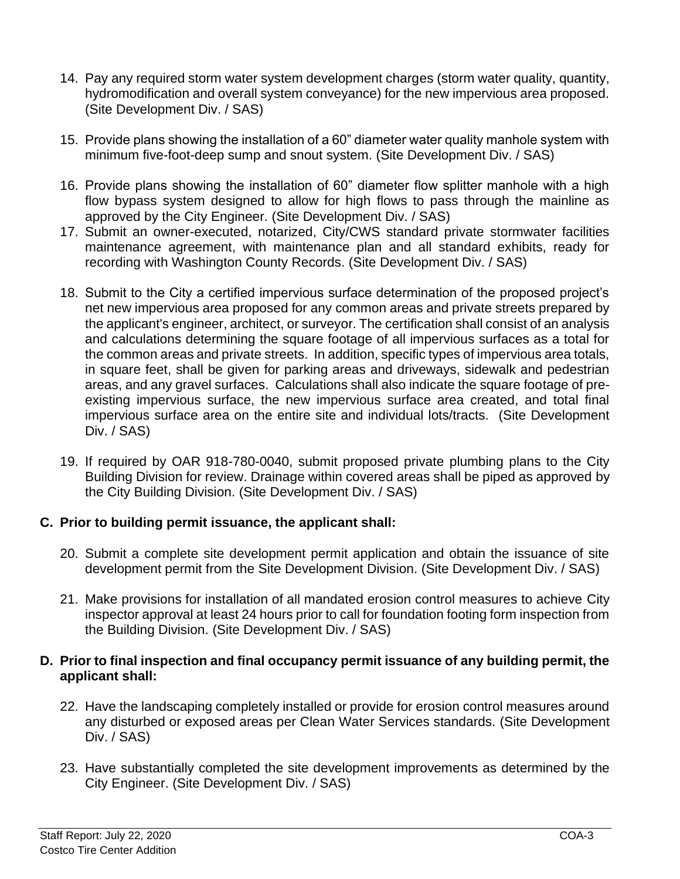- 14. Pay any required storm water system development charges (storm water quality, quantity, hydromodification and overall system conveyance) for the new impervious area proposed. (Site Development Div. / SAS)
- 15. Provide plans showing the installation of a 60" diameter water quality manhole system with minimum five-foot-deep sump and snout system. (Site Development Div. / SAS)
- 16. Provide plans showing the installation of 60" diameter flow splitter manhole with a high flow bypass system designed to allow for high flows to pass through the mainline as approved by the City Engineer. (Site Development Div. / SAS)
- 17. Submit an owner-executed, notarized, City/CWS standard private stormwater facilities maintenance agreement, with maintenance plan and all standard exhibits, ready for recording with Washington County Records. (Site Development Div. / SAS)
- 18. Submit to the City a certified impervious surface determination of the proposed project's net new impervious area proposed for any common areas and private streets prepared by the applicant's engineer, architect, or surveyor. The certification shall consist of an analysis and calculations determining the square footage of all impervious surfaces as a total for the common areas and private streets. In addition, specific types of impervious area totals, in square feet, shall be given for parking areas and driveways, sidewalk and pedestrian areas, and any gravel surfaces. Calculations shall also indicate the square footage of preexisting impervious surface, the new impervious surface area created, and total final impervious surface area on the entire site and individual lots/tracts. (Site Development Div. / SAS)
- 19. If required by OAR 918-780-0040, submit proposed private plumbing plans to the City Building Division for review. Drainage within covered areas shall be piped as approved by the City Building Division. (Site Development Div. / SAS)

#### **C. Prior to building permit issuance, the applicant shall:**

- 20. Submit a complete site development permit application and obtain the issuance of site development permit from the Site Development Division. (Site Development Div. / SAS)
- 21. Make provisions for installation of all mandated erosion control measures to achieve City inspector approval at least 24 hours prior to call for foundation footing form inspection from the Building Division. (Site Development Div. / SAS)

#### **D. Prior to final inspection and final occupancy permit issuance of any building permit, the applicant shall:**

- 22. Have the landscaping completely installed or provide for erosion control measures around any disturbed or exposed areas per Clean Water Services standards. (Site Development Div. / SAS)
- 23. Have substantially completed the site development improvements as determined by the City Engineer. (Site Development Div. / SAS)